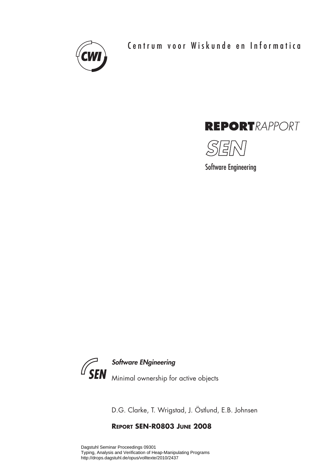

Centrum voor Wiskunde en Informatica





Software Engineering



D.G. Clarke, T. Wrigstad, J. Östlund, E.B. Johnsen

## **REPORT SEN-R0803 JUNE 2008**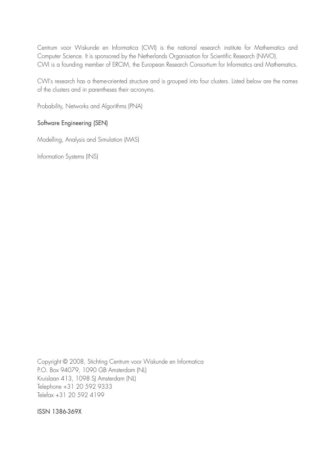Centrum voor Wiskunde en Informatica (CWI) is the national research institute for Mathematics and Computer Science. It is sponsored by the Netherlands Organisation for Scientific Research (NWO). CWI is a founding member of ERCIM, the European Research Consortium for Informatics and Mathematics.

CWI's research has a theme-oriented structure and is grouped into four clusters. Listed below are the names of the clusters and in parentheses their acronyms.

Probability, Networks and Algorithms (PNA)

## Software Engineering (SEN)

Modelling, Analysis and Simulation (MAS)

Information Systems (INS)

Copyright © 2008, Stichting Centrum voor Wiskunde en Informatica P.O. Box 94079, 1090 GB Amsterdam (NL) Kruislaan 413, 1098 SJ Amsterdam (NL) Telephone +31 20 592 9333 Telefax +31 20 592 4199

ISSN 1386-369X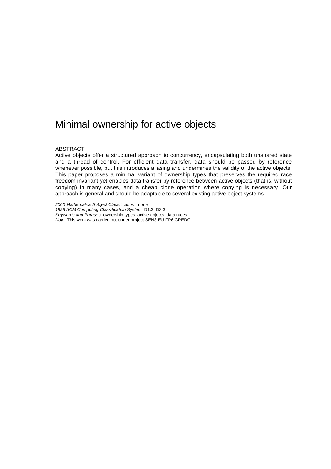# Minimal ownership for active objects

#### ABSTRACT

Active objects offer a structured approach to concurrency, encapsulating both unshared state and a thread of control. For efficient data transfer, data should be passed by reference whenever possible, but this introduces aliasing and undermines the validity of the active objects. This paper proposes a minimal variant of ownership types that preserves the required race freedom invariant yet enables data transfer by reference between active objects (that is, without copying) in many cases, and a cheap clone operation where copying is necessary. Our approach is general and should be adaptable to several existing active object systems.

*2000 Mathematics Subject Classification:* none *1998 ACM Computing Classification System:* D1.3, D3.3 *Keywords and Phrases:* ownership types; active objects; data races *Note*: This work was carried out under project SEN3 EU-FP6 CREDO.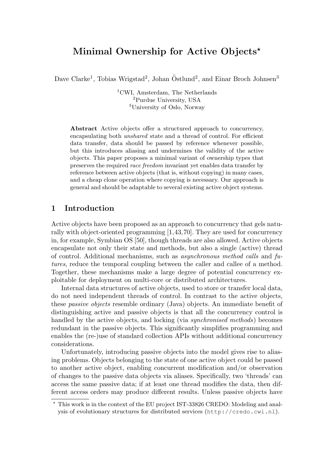## Minimal Ownership for Active Objects<sup>\*</sup>

Dave Clarke<sup>1</sup>, Tobias Wrigstad<sup>2</sup>, Johan Östlund<sup>2</sup>, and Einar Broch Johnsen<sup>3</sup>

<sup>1</sup>CWI, Amsterdam, The Netherlands <sup>2</sup>Purdue University, USA <sup>3</sup>University of Oslo, Norway

Abstract Active objects offer a structured approach to concurrency, encapsulating both unshared state and a thread of control. For efficient data transfer, data should be passed by reference whenever possible, but this introduces aliasing and undermines the validity of the active objects. This paper proposes a minimal variant of ownership types that preserves the required race freedom invariant yet enables data transfer by reference between active objects (that is, without copying) in many cases, and a cheap clone operation where copying is necessary. Our approach is general and should be adaptable to several existing active object systems.

## 1 Introduction

Active objects have been proposed as an approach to concurrency that gels naturally with object-oriented programming [1,43,70]. They are used for concurrency in, for example, Symbian OS [50], though threads are also allowed. Active objects encapsulate not only their state and methods, but also a single (active) thread of control. Additional mechanisms, such as asynchronous method calls and futures, reduce the temporal coupling between the caller and callee of a method. Together, these mechanisms make a large degree of potential concurrency exploitable for deployment on multi-core or distributed architectures.

Internal data structures of active objects, used to store or transfer local data, do not need independent threads of control. In contrast to the active objects, these passive objects resemble ordinary (Java) objects. An immediate benefit of distinguishing active and passive objects is that all the concurrency control is handled by the active objects, and locking (via synchronised methods) becomes redundant in the passive objects. This significantly simplifies programming and enables the (re-)use of standard collection APIs without additional concurrency considerations.

Unfortunately, introducing passive objects into the model gives rise to aliasing problems. Objects belonging to the state of one active object could be passed to another active object, enabling concurrent modification and/or observation of changes to the passive data objects via aliases. Specifically, two 'threads' can access the same passive data; if at least one thread modifies the data, then different access orders may produce different results. Unless passive objects have

<sup>?</sup> This work is in the context of the EU project IST-33826 CREDO: Modeling and analysis of evolutionary structures for distributed services (http://credo.cwi.nl).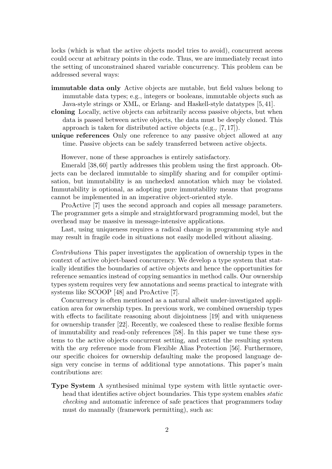locks (which is what the active objects model tries to avoid), concurrent access could occur at arbitrary points in the code. Thus, we are immediately recast into the setting of unconstrained shared variable concurrency. This problem can be addressed several ways:

- immutable data only Active objects are mutable, but field values belong to immutable data types; e.g., integers or booleans, immutable objects such as Java-style strings or XML, or Erlang- and Haskell-style datatypes [5, 41].
- cloning Locally, active objects can arbitrarily access passive objects, but when data is passed between active objects, the data must be deeply cloned. This approach is taken for distributed active objects (e.g., [7, 17]).
- unique references Only one reference to any passive object allowed at any time. Passive objects can be safely transferred between active objects.

However, none of these approaches is entirely satisfactory.

Emerald [38, 60] partly addresses this problem using the first approach. Objects can be declared immutable to simplify sharing and for compiler optimisation, but immutability is an unchecked annotation which may be violated. Immutability is optional, as adopting pure immutability means that programs cannot be implemented in an imperative object-oriented style.

ProActive [7] uses the second approach and copies all message parameters. The programmer gets a simple and straightforward programming model, but the overhead may be massive in message-intensive applications.

Last, using uniqueness requires a radical change in programming style and may result in fragile code in situations not easily modelled without aliasing.

Contributions This paper investigates the application of ownership types in the context of active object-based concurrency. We develop a type system that statically identifies the boundaries of active objects and hence the opportunities for reference semantics instead of copying semantics in method calls. Our ownership types system requires very few annotations and seems practical to integrate with systems like SCOOP [48] and ProActive [7].

Concurrency is often mentioned as a natural albeit under-investigated application area for ownership types. In previous work, we combined ownership types with effects to facilitate reasoning about disjointness [19] and with uniqueness for ownership transfer [22]. Recently, we coalesced these to realise flexible forms of immutability and read-only references [58]. In this paper we tune these systems to the active objects concurrent setting, and extend the resulting system with the *arg* reference mode from Flexible Alias Protection [56]. Furthermore, our specific choices for ownership defaulting make the proposed language design very concise in terms of additional type annotations. This paper's main contributions are:

Type System A synthesised minimal type system with little syntactic overhead that identifies active object boundaries. This type system enables static checking and automatic inference of safe practices that programmers today must do manually (framework permitting), such as: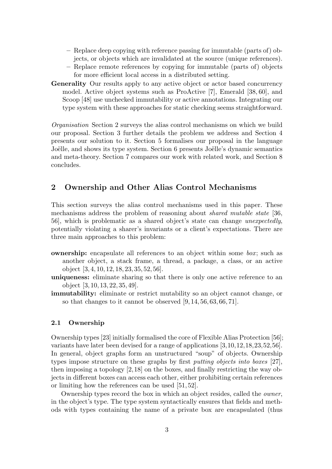- Replace deep copying with reference passing for immutable (parts of) objects, or objects which are invalidated at the source (unique references).
- Replace remote references by copying for immutable (parts of) objects for more efficient local access in a distributed setting.
- Generality Our results apply to any active object or actor based concurrency model. Active object systems such as ProActive [7], Emerald [38, 60], and Scoop [48] use unchecked immutability or active annotations. Integrating our type system with these approaches for static checking seems straightforward.

Organisation Section 2 surveys the alias control mechanisms on which we build our proposal. Section 3 further details the problem we address and Section 4 presents our solution to it. Section 5 formalises our proposal in the language Joëlle, and shows its type system. Section 6 presents Joëlle's dynamic semantics and meta-theory. Section 7 compares our work with related work, and Section 8 concludes.

## 2 Ownership and Other Alias Control Mechanisms

This section surveys the alias control mechanisms used in this paper. These mechanisms address the problem of reasoning about shared mutable state [36, 56], which is problematic as a shared object's state can change unexpectedly, potentially violating a sharer's invariants or a client's expectations. There are three main approaches to this problem:

- **ownership:** encapsulate all references to an object within some  $box$ ; such as another object, a stack frame, a thread, a package, a class, or an active object [3, 4, 10, 12, 18, 23, 35, 52, 56].
- uniqueness: eliminate sharing so that there is only one active reference to an object [3, 10, 13, 22, 35, 49].
- immutability: eliminate or restrict mutability so an object cannot change, or so that changes to it cannot be observed [9, 14, 56, 63, 66, 71].

## 2.1 Ownership

Ownership types [23] initially formalised the core of Flexible Alias Protection [56]; variants have later been devised for a range of applications [3,10,12,18,23,52,56]. In general, object graphs form an unstructured "soup" of objects. Ownership types impose structure on these graphs by first putting objects into boxes [27], then imposing a topology [2,18] on the boxes, and finally restricting the way objects in different boxes can access each other, either prohibiting certain references or limiting how the references can be used [51, 52].

Ownership types record the box in which an object resides, called the owner, in the object's type. The type system syntactically ensures that fields and methods with types containing the name of a private box are encapsulated (thus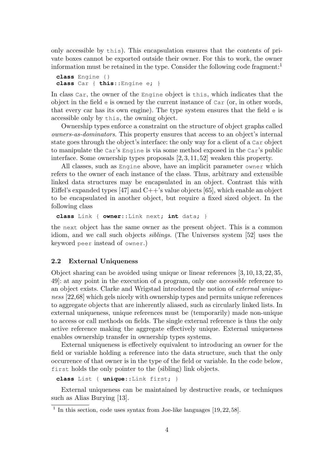only accessible by this). This encapsulation ensures that the contents of private boxes cannot be exported outside their owner. For this to work, the owner information must be retained in the type. Consider the following code fragment:<sup>1</sup>

```
class Engine {}
class Car { this::Engine e; }
```
In class Car, the owner of the Engine object is this, which indicates that the object in the field  $\epsilon$  is owned by the current instance of  $Car$  (or, in other words, that every car has its own engine). The type system ensures that the field e is accessible only by this, the owning object.

Ownership types enforce a constraint on the structure of object graphs called owners-as-dominators. This property ensures that access to an object's internal state goes through the object's interface: the only way for a client of a Car object to manipulate the Car's Engine is via some method exposed in the Car's public interface. Some ownership types proposals [2, 3, 11, 52] weaken this property.

All classes, such as Engine above, have an implicit parameter owner which refers to the owner of each instance of the class. Thus, arbitrary and extensible linked data structures may be encapsulated in an object. Contrast this with Eiffel's expanded types [47] and  $C++$ 's value objects [65], which enable an object to be encapsulated in another object, but require a fixed sized object. In the following class

**class** Link { **owner**::Link next; **int** data; }

the next object has the same owner as the present object. This is a common idiom, and we call such objects siblings. (The Universes system [52] uses the keyword peer instead of owner.)

#### 2.2 External Uniqueness

Object sharing can be avoided using unique or linear references [3, 10, 13, 22, 35, 49]: at any point in the execution of a program, only one accessible reference to an object exists. Clarke and Wrigstad introduced the notion of external uniqueness [22,68] which gels nicely with ownership types and permits unique references to aggregate objects that are inherently aliased, such as circularly linked lists. In external uniqueness, unique references must be (temporarily) made non-unique to access or call methods on fields. The single external reference is thus the only active reference making the aggregate effectively unique. External uniqueness enables ownership transfer in ownership types systems.

External uniqueness is effectively equivalent to introducing an owner for the field or variable holding a reference into the data structure, such that the only occurrence of that owner is in the type of the field or variable. In the code below, first holds the only pointer to the (sibling) link objects.

**class** List { **unique**::Link first; }

External uniqueness can be maintained by destructive reads, or techniques such as Alias Burying [13].

<sup>&</sup>lt;sup>1</sup> In this section, code uses syntax from Joe-like languages [19, 22, 58].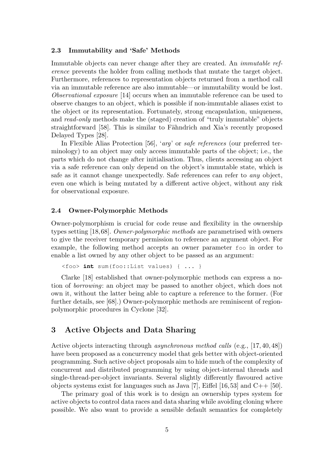#### 2.3 Immutability and 'Safe' Methods

Immutable objects can never change after they are created. An *immutable ref*erence prevents the holder from calling methods that mutate the target object. Furthermore, references to representation objects returned from a method call via an immutable reference are also immutable—or immutability would be lost. Observational exposure [14] occurs when an immutable reference can be used to observe changes to an object, which is possible if non-immutable aliases exist to the object or its representation. Fortunately, strong encapsulation, uniqueness, and read-only methods make the (staged) creation of "truly immutable" objects straightforward [58]. This is similar to Fähndrich and Xia's recently proposed Delayed Types [28].

In Flexible Alias Protection [56], 'arg' or safe references (our preferred terminology) to an object may only access immutable parts of the object; i.e., the parts which do not change after initialisation. Thus, clients accessing an object via a safe reference can only depend on the object's immutable state, which is safe as it cannot change unexpectedly. Safe references can refer to any object, even one which is being mutated by a different active object, without any risk for observational exposure.

#### 2.4 Owner-Polymorphic Methods

Owner-polymorphism is crucial for code reuse and flexibility in the ownership types setting [18,68]. Owner-polymorphic methods are parametrised with owners to give the receiver temporary permission to reference an argument object. For example, the following method accepts an owner parameter foo in order to enable a list owned by any other object to be passed as an argument:

```
<foo> int sum(foo::List values) { ... }
```
Clarke [18] established that owner-polymorphic methods can express a notion of borrowing: an object may be passed to another object, which does not own it, without the latter being able to capture a reference to the former. (For further details, see [68].) Owner-polymorphic methods are reminiscent of regionpolymorphic procedures in Cyclone [32].

## 3 Active Objects and Data Sharing

Active objects interacting through asynchronous method calls (e.g., [17, 40, 48]) have been proposed as a concurrency model that gels better with object-oriented programming. Such active object proposals aim to hide much of the complexity of concurrent and distributed programming by using object-internal threads and single-thread-per-object invariants. Several slightly differently flavoured active objects systems exist for languages such as Java [7], Eiffel [16,53] and  $C_{++}$  [50].

The primary goal of this work is to design an ownership types system for active objects to control data races and data sharing while avoiding cloning where possible. We also want to provide a sensible default semantics for completely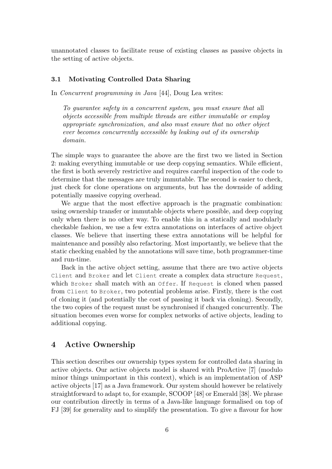unannotated classes to facilitate reuse of existing classes as passive objects in the setting of active objects.

#### 3.1 Motivating Controlled Data Sharing

In *Concurrent programming in Java* [44], Doug Lea writes:

To guarantee safety in a concurrent system, you must ensure that all objects accessible from multiple threads are either immutable or employ appropriate synchronization, and also must ensure that no other object ever becomes concurrently accessible by leaking out of its ownership domain.

The simple ways to guarantee the above are the first two we listed in Section 2: making everything immutable or use deep copying semantics. While efficient, the first is both severely restrictive and requires careful inspection of the code to determine that the messages are truly immutable. The second is easier to check, just check for clone operations on arguments, but has the downside of adding potentially massive copying overhead.

We argue that the most effective approach is the pragmatic combination: using ownership transfer or immutable objects where possible, and deep copying only when there is no other way. To enable this in a statically and modularly checkable fashion, we use a few extra annotations on interfaces of active object classes. We believe that inserting these extra annotations will be helpful for maintenance and possibly also refactoring. Most importantly, we believe that the static checking enabled by the annotations will save time, both programmer-time and run-time.

Back in the active object setting, assume that there are two active objects Client and Broker and let Client create a complex data structure Request, which Broker shall match with an Offer. If Request is cloned when passed from Client to Broker, two potential problems arise. Firstly, there is the cost of cloning it (and potentially the cost of passing it back via cloning). Secondly, the two copies of the request must be synchronised if changed concurrently. The situation becomes even worse for complex networks of active objects, leading to additional copying.

## 4 Active Ownership

This section describes our ownership types system for controlled data sharing in active objects. Our active objects model is shared with ProActive [7] (modulo minor things unimportant in this context), which is an implementation of ASP active objects [17] as a Java framework. Our system should however be relatively straightforward to adapt to, for example, SCOOP [48] or Emerald [38]. We phrase our contribution directly in terms of a Java-like language formalised on top of FJ [39] for generality and to simplify the presentation. To give a flavour for how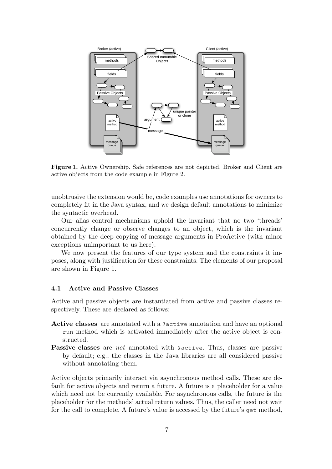

Figure 1. Active Ownership. Safe references are not depicted. Broker and Client are active objects from the code example in Figure 2.

unobtrusive the extension would be, code examples use annotations for owners to completely fit in the Java syntax, and we design default annotations to minimize the syntactic overhead.

Our alias control mechanisms uphold the invariant that no two 'threads' concurrently change or observe changes to an object, which is the invariant obtained by the deep copying of message arguments in ProActive (with minor exceptions unimportant to us here).

We now present the features of our type system and the constraints it imposes, along with justification for these constraints. The elements of our proposal are shown in Figure 1.

#### 4.1 Active and Passive Classes

Active and passive objects are instantiated from active and passive classes respectively. These are declared as follows:

- Active classes are annotated with a @active annotation and have an optional run method which is activated immediately after the active object is constructed.
- Passive classes are not annotated with @active. Thus, classes are passive by default; e.g., the classes in the Java libraries are all considered passive without annotating them.

Active objects primarily interact via asynchronous method calls. These are default for active objects and return a future. A future is a placeholder for a value which need not be currently available. For asynchronous calls, the future is the placeholder for the methods' actual return values. Thus, the caller need not wait for the call to complete. A future's value is accessed by the future's get method,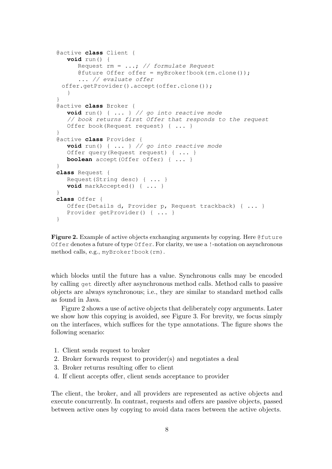```
@active class Client {
  void run() {
      Request rm = ...; // formulate Request
      @future Offer offer = myBroker!book(rm.clone());
      ... // evaluate offer
 offer.getProvider().accept(offer.clone());
   }
}
@active class Broker {
  void run() { ... } // go into reactive mode
   // book returns first Offer that responds to the request
  Offer book(Request request) { ... }
}
@active class Provider {
  void run() { ... } // go into reactive mode
  Offer query(Request request) { ... }
  boolean accept(Offer offer) { ... }
}
class Request {
  Request(String desc) { ... }
  void markAccepted() { ... }
}
class Offer {
  Offer(Details d, Provider p, Request trackback) { ... }
  Provider getProvider() { ... }
}
```
Figure 2. Example of active objects exchanging arguments by copying. Here Cuture Offer denotes a future of type Offer. For clarity, we use a !-notation on asynchronous method calls, e.g., myBroker!book(rm).

which blocks until the future has a value. Synchronous calls may be encoded by calling get directly after asynchronous method calls. Method calls to passive objects are always synchronous; i.e., they are similar to standard method calls as found in Java.

Figure 2 shows a use of active objects that deliberately copy arguments. Later we show how this copying is avoided, see Figure 3. For brevity, we focus simply on the interfaces, which suffices for the type annotations. The figure shows the following scenario:

- 1. Client sends request to broker
- 2. Broker forwards request to provider(s) and negotiates a deal
- 3. Broker returns resulting offer to client
- 4. If client accepts offer, client sends acceptance to provider

The client, the broker, and all providers are represented as active objects and execute concurrently. In contrast, requests and offers are passive objects, passed between active ones by copying to avoid data races between the active objects.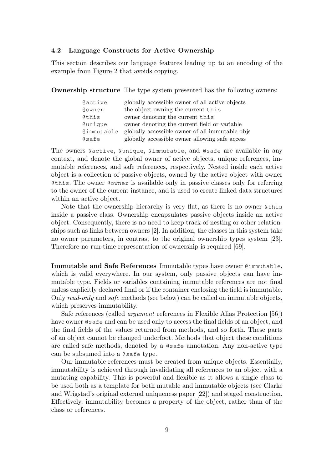#### 4.2 Language Constructs for Active Ownership

This section describes our language features leading up to an encoding of the example from Figure 2 that avoids copying.

Ownership structure The type system presented has the following owners:

| Gactive        | globally accessible owner of all active objects |
|----------------|-------------------------------------------------|
| @owner         | the object owning the current this              |
| Cthis          | owner denoting the current this                 |
| <b>@unique</b> | owner denoting the current field or variable    |
| @immutable     | globally accessible owner of all immutable objs |
| @safe          | globally accessible owner allowing safe access  |

The owners @active, @unique, @immutable, and @safe are available in any context, and denote the global owner of active objects, unique references, immutable references, and safe references, respectively. Nested inside each active object is a collection of passive objects, owned by the active object with owner @this. The owner @owner is available only in passive classes only for referring to the owner of the current instance, and is used to create linked data structures within an active object.

Note that the ownership hierarchy is very flat, as there is no owner @this inside a passive class. Ownership encapsulates passive objects inside an active object. Consequently, there is no need to keep track of nesting or other relationships such as links between owners [2]. In addition, the classes in this system take no owner parameters, in contrast to the original ownership types system [23]. Therefore no run-time representation of ownership is required [69].

Immutable and Safe References Immutable types have owner @immutable, which is valid everywhere. In our system, only passive objects can have immutable type. Fields or variables containing immutable references are not final unless explicitly declared final or if the container enclosing the field is immutable. Only read-only and safe methods (see below) can be called on immutable objects, which preserves immutability.

Safe references (called argument references in Flexible Alias Protection [56]) have owner @safe and can be used only to access the final fields of an object, and the final fields of the values returned from methods, and so forth. These parts of an object cannot be changed underfoot. Methods that object these conditions are called safe methods, denoted by a @safe annotation. Any non-active type can be subsumed into a @safe type.

Our immutable references must be created from unique objects. Essentially, immutability is achieved through invalidating all references to an object with a mutating capability. This is powerful and flexible as it allows a single class to be used both as a template for both mutable and immutable objects (see Clarke and Wrigstad's original external uniqueness paper [22]) and staged construction. Effectively, immutability becomes a property of the object, rather than of the class or references.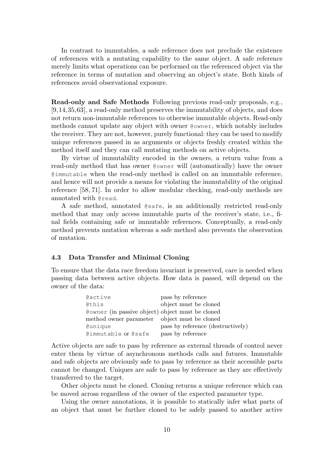In contrast to immutables, a safe reference does not preclude the existence of references with a mutating capability to the same object. A safe reference merely limits what operations can be performed on the referenced object via the reference in terms of mutation and observing an object's state. Both kinds of references avoid observational exposure.

Read-only and Safe Methods Following previous read-only proposals, e.g., [9,14,35,63], a read-only method preserves the immutability of objects, and does not return non-immutable references to otherwise immutable objects. Read-only methods cannot update any object with owner @owner, which notably includes the receiver. They are not, however, purely functional: they can be used to modify unique references passed in as arguments or objects freshly created within the method itself and they can call mutating methods on active objects.

By virtue of immutability encoded in the owners, a return value from a read-only method that has owner @owner will (automatically) have the owner @immutable when the read-only method is called on an immutable reference, and hence will not provide a means for violating the immutability of the original reference [58, 71]. In order to allow modular checking, read-only methods are annotated with @read.

A safe method, annotated @safe, is an additionally restricted read-only method that may only access immutable parts of the receiver's state, i.e., final fields containing safe or immutable references. Conceptually, a read-only method prevents mutation whereas a safe method also prevents the observation of mutation.

#### 4.3 Data Transfer and Minimal Cloning

To ensure that the data race freedom invariant is preserved, care is needed when passing data between active objects. How data is passed, will depend on the owner of the data:

| Gactive                                          | pass by reference                 |
|--------------------------------------------------|-----------------------------------|
| Cthis                                            | object must be cloned             |
| Cowner (in passive object) object must be cloned |                                   |
| method owner parameter object must be cloned     |                                   |
| Gunique                                          | pass by reference (destructively) |
| @immutable or @safe                              | pass by reference                 |

Active objects are safe to pass by reference as external threads of control never enter them by virtue of asynchronous methods calls and futures. Immutable and safe objects are obviously safe to pass by reference as their accessible parts cannot be changed. Uniques are safe to pass by reference as they are effectively transferred to the target.

Other objects must be cloned. Cloning returns a unique reference which can be moved across regardless of the owner of the expected parameter type.

Using the owner annotations, it is possible to statically infer what parts of an object that must be further cloned to be safely passed to another active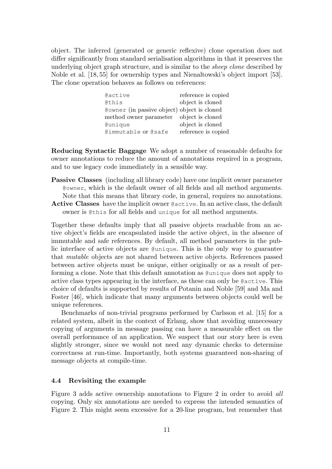object. The inferred (generated or generic reflexive) clone operation does not differ significantly from standard serialisation algorithms in that it preserves the underlying object graph structure, and is similar to the sheep clone described by Noble et al. [18, 55] for ownership types and Nienaltowski's object import [53]. The clone operation behaves as follows on references:

| Gactive                                     | reference is copied |
|---------------------------------------------|---------------------|
| @this                                       | object is cloned    |
| Cowner (in passive object) object is cloned |                     |
| method owner parameter object is cloned     |                     |
| <i><b>@unique</b></i>                       | object is cloned    |
| @immutable or @safe                         | reference is copied |

Reducing Syntactic Baggage We adopt a number of reasonable defaults for owner annotations to reduce the amount of annotations required in a program, and to use legacy code immediately in a sensible way.

- Passive Classes (including all library code) have one implicit owner parameter @owner, which is the default owner of all fields and all method arguments. Note that this means that library code, in general, requires no annotations.
- Active Classes have the implicit owner @active. In an active class, the default owner is @this for all fields and unique for all method arguments.

Together these defaults imply that all passive objects reachable from an active object's fields are encapsulated inside the active object, in the absence of immutable and safe references. By default, all method parameters in the public interface of active objects are @unique. This is the only way to guarantee that mutable objects are not shared between active objects. References passed between active objects must be unique, either originally or as a result of performing a clone. Note that this default annotation as @unique does not apply to active class types appearing in the interface, as these can only be @active. This choice of defaults is supported by results of Potanin and Noble [59] and Ma and Foster [46], which indicate that many arguments between objects could well be unique references.

Benchmarks of non-trivial programs performed by Carlsson et al. [15] for a related system, albeit in the context of Erlang, show that avoiding unnecessary copying of arguments in message passing can have a measurable effect on the overall performance of an application. We suspect that our story here is even slightly stronger, since we would not need any dynamic checks to determine correctness at run-time. Importantly, both systems guaranteed non-sharing of message objects at compile-time.

### 4.4 Revisiting the example

Figure 3 adds active ownership annotations to Figure 2 in order to avoid all copying. Only six annotations are needed to express the intended semantics of Figure 2. This might seem excessive for a 20-line program, but remember that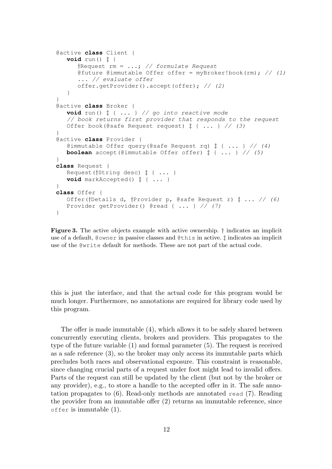```
@active class Client {
   void run() ‡ {
      \frac{1}{2}Request rm = ...; // formulate Request
      @future @immutable Offer offer = myBroker!book(rm); // (1)
      ... // evaluate offer
      offer.getProvider().accept(offer); // (2)
   }
}
@active class Broker {
   void run() ‡ { ... } // go into reactive mode
   // book returns first provider that responds to the request
   Offer book(@safe Request request) \ddagger { ... } // (3)
}
@active class Provider {
   @immutable Offer query(@safe Request rq) \ddagger { ... } // (4)
   boolean accept(@immutable Offer offer) ‡ { ... } // (5)
}
class Request {
   Request(†String desc) ‡ { ... }
   void markAccepted() ‡ { ... }
}
class Offer {
   Offer(†Details d, †Provider p, @safe Request r) \ddot{t} ... // (6)
   Provider getProvider() @read { ... } // (7)
}
```
Figure 3. The active objects example with active ownership. † indicates an implicit use of a default, @owner in passive classes and @this in active. ‡ indicates an implicit use of the @write default for methods. These are not part of the actual code.

this is just the interface, and that the actual code for this program would be much longer. Furthermore, no annotations are required for library code used by this program.

The offer is made immutable (4), which allows it to be safely shared between concurrently executing clients, brokers and providers. This propagates to the type of the future variable (1) and formal parameter (5). The request is received as a safe reference (3), so the broker may only access its immutable parts which precludes both races and observational exposure. This constraint is reasonable, since changing crucial parts of a request under foot might lead to invalid offers. Parts of the request can still be updated by the client (but not by the broker or any provider), e.g., to store a handle to the accepted offer in it. The safe annotation propagates to (6). Read-only methods are annotated read (7). Reading the provider from an immutable offer (2) returns an immutable reference, since offer is immutable (1).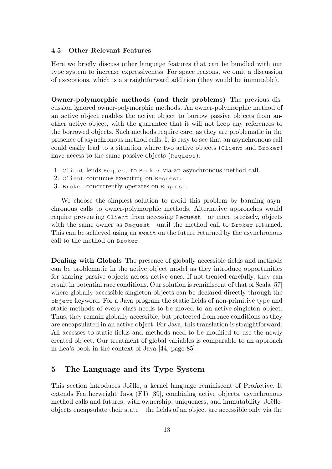#### 4.5 Other Relevant Features

Here we briefly discuss other language features that can be bundled with our type system to increase expressiveness. For space reasons, we omit a discussion of exceptions, which is a straightforward addition (they would be immutable).

Owner-polymorphic methods (and their problems) The previous discussion ignored owner-polymorphic methods. An owner-polymorphic method of an active object enables the active object to borrow passive objects from another active object, with the guarantee that it will not keep any references to the borrowed objects. Such methods require care, as they are problematic in the presence of asynchronous method calls. It is easy to see that an asynchronous call could easily lead to a situation where two active objects (Client and Broker) have access to the same passive objects (Request):

- 1. Client lends Request to Broker via an asynchronous method call.
- 2. Client continues executing on Request.
- 3. Broker concurrently operates on Request.

We choose the simplest solution to avoid this problem by banning asynchronous calls to owner-polymorphic methods. Alternative approaches would require preventing Client from accessing Request—or more precisely, objects with the same owner as Request—until the method call to Broker returned. This can be achieved using an await on the future returned by the asynchronous call to the method on Broker.

Dealing with Globals The presence of globally accessible fields and methods can be problematic in the active object model as they introduce opportunities for sharing passive objects across active ones. If not treated carefully, they can result in potential race conditions. Our solution is reminiscent of that of Scala [57] where globally accessible singleton objects can be declared directly through the object keyword. For a Java program the static fields of non-primitive type and static methods of every class needs to be moved to an active singleton object. Thus, they remain globally accessible, but protected from race conditions as they are encapsulated in an active object. For Java, this translation is straightforward: All accesses to static fields and methods need to be modified to use the newly created object. Our treatment of global variables is comparable to an approach in Lea's book in the context of Java [44, page 85].

## 5 The Language and its Type System

This section introduces Joëlle, a kernel language reminiscent of ProActive. It extends Featherweight Java (FJ) [39], combining active objects, asynchronous method calls and futures, with ownership, uniqueness, and immutability. Joëlleobjects encapsulate their state—the fields of an object are accessible only via the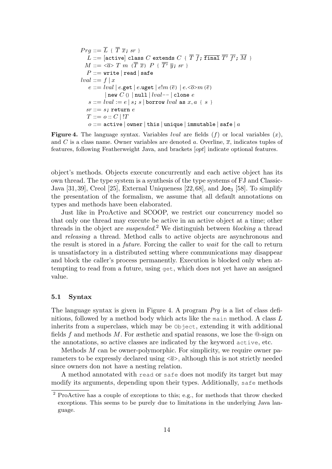$$
Prg ::= \overline{L} \{ \overline{T} \overline{x}; sr \}
$$
\n
$$
L ::= [\text{active}] \text{ class } C \text{ extends } C \{ \overline{T} \overline{f}; \overline{\text{final}} \overline{T'} \overline{f'}; \overline{M} \}
$$
\n
$$
M ::= \langle \overline{a} \rangle T m \langle \overline{T} \overline{x} \rangle P \{ \overline{T'} \overline{y}; sr \}
$$
\n
$$
P ::= \text{write} | \text{read} | \text{safe}
$$
\n
$$
lval ::= f | x
$$
\n
$$
e ::= lval | e.\text{get} | e.\text{uget} | e!m \langle \overline{e} \rangle | e. \langle \overline{o} \rangle m \langle \overline{e} \rangle
$$
\n
$$
| \text{ new } C \langle \rangle | \text{null} | lval - | \text{clone } e
$$
\n
$$
s ::= lval := e | s; s | \text{ borrow } lval \text{ as } x, a \{ s \}
$$
\n
$$
sr ::= s; \text{return } e
$$
\n
$$
T ::= o :: C | !T
$$
\n
$$
o ::= \text{active} | \text{owner} | \text{this} | \text{unique} | \text{immutable} | \text{safe} | a
$$

**Figure 4.** The language syntax. Variables *lval* are fields  $(f)$  or local variables  $(x)$ , and C is a class name. Owner variables are denoted a. Overline,  $\overline{x}$ , indicates tuples of features, following Featherweight Java, and brackets [opt] indicate optional features.

object's methods. Objects execute concurrently and each active object has its own thread. The type system is a synthesis of the type systems of FJ and Classic-Java [31, 39], Creol [25], External Uniqueness [22, 68], and  $\text{Joe}_3$  [58]. To simplify the presentation of the formalism, we assume that all default annotations on types and methods have been elaborated.

Just like in ProActive and SCOOP, we restrict our concurrency model so that only one thread may execute be active in an active object at a time; other threads in the object are *suspended*.<sup>2</sup> We distinguish between *blocking* a thread and releasing a thread. Method calls to active objects are asynchronous and the result is stored in a future. Forcing the caller to wait for the call to return is unsatisfactory in a distributed setting where communications may disappear and block the caller's process permanently. Execution is blocked only when attempting to read from a future, using get, which does not yet have an assigned value.

#### 5.1 Syntax

The language syntax is given in Figure 4. A program  $Prq$  is a list of class definitions, followed by a method body which acts like the main method. A class  $L$ inherits from a superclass, which may be Object, extending it with additional fields f and methods M. For æsthetic and spatial reasons, we lose the  $\Phi$ -sign on the annotations, so active classes are indicated by the keyword active, etc.

Methods  $M$  can be owner-polymorphic. For simplicity, we require owner parameters to be expressly declared using  $\langle \bar{a} \rangle$ , although this is not strictly needed since owners don not have a nesting relation.

A method annotated with read or safe does not modify its target but may modify its arguments, depending upon their types. Additionally, safe methods

<sup>2</sup> ProActive has a couple of exceptions to this; e.g., for methods that throw checked exceptions. This seems to be purely due to limitations in the underlying Java language.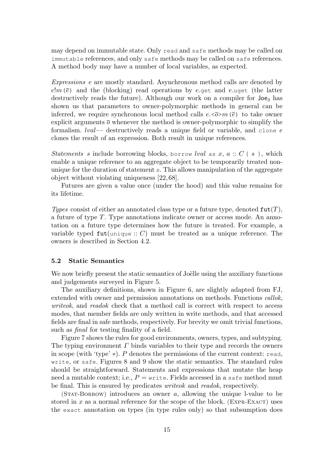may depend on immutable state. Only read and safe methods may be called on immutable references, and only safe methods may be called on safe references. A method body may have a number of local variables, as expected.

Expressions e are mostly standard. Asynchronous method calls are denoted by  $e^{im}(\bar{e})$  and the (blocking) read operations by e.get and e.uget (the latter destructively reads the future). Although our work on a compiler for **Joe**<sub>3</sub> has shown us that parameters to owner-polymorphic methods in general can be inferred, we require synchronous local method calls  $e.\langle \overline{\partial} \rangle m(\overline{e})$  to take owner explicit arguments  $\overline{o}$  whenever the method is owner-polymorphic to simplify the formalism.  $lval$ -- destructively reads a unique field or variable, and clone  $e$ clones the result of an expression. Both result in unique references.

Statements s include borrowing blocks, borrow lval as x,  $a :: C \{ s \}$ , which enable a unique reference to an aggregate object to be temporarily treated nonunique for the duration of statement s. This allows manipulation of the aggregate object without violating uniqueness [22, 68].

Futures are given a value once (under the hood) and this value remains for its lifetime.

Types consist of either an annotated class type or a future type, denoted  $\text{fut}(T)$ , a future of type T. Type annotations indicate owner or access mode. An annotation on a future type determines how the future is treated. For example, a variable typed  $\text{fut}(\text{unique}:: C)$  must be treated as a unique reference. The owners is described in Section 4.2.

#### 5.2 Static Semantics

We now briefly present the static semantics of Joëlle using the auxiliary functions and judgements surveyed in Figure 5.

The auxiliary definitions, shown in Figure 6, are slightly adapted from FJ, extended with owner and permission annotations on methods. Functions callok, writeok, and readok check that a method call is correct with respect to access modes, that member fields are only written in write methods, and that accessed fields are final in safe methods, respectively. For brevity we omit trivial functions, such as *final* for testing finality of a field.

Figure 7 shows the rules for good environments, owners, types, and subtyping. The typing environment  $\Gamma$  binds variables to their type and records the owners in scope (with 'type' ∗). P denotes the permissions of the current context: read, write, or safe. Figures 8 and 9 show the static semantics. The standard rules should be straightforward. Statements and expressions that mutate the heap need a mutable context; i.e.,  $P =$  write. Fields accessed in a safe method must be final. This is ensured by predicates writeok and readok, respectively.

 $(STAT-BORROW)$  introduces an owner a, allowing the unique l-value to be stored in x as a normal reference for the scope of the block. (EXPR-EXACT) uses the exact annotation on types (in type rules only) so that subsumption does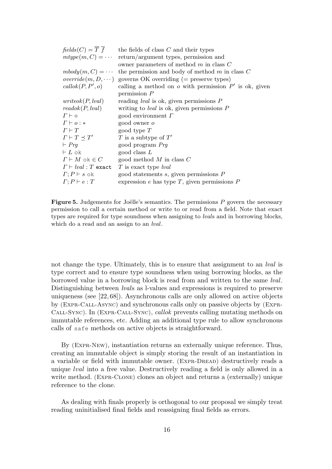| $fields(C) = \overline{T} \ \overline{f}$ | the fields of class $C$ and their types                   |
|-------------------------------------------|-----------------------------------------------------------|
| $mtype(m, C) = \cdots$                    | return/argument types, permission and                     |
|                                           | owner parameters of method $m$ in class $C$               |
| $mbody(m, C) = \cdots$                    | the permission and body of method $m$ in class $C$        |
| $override(m, D, \dots)$                   | governs OK overriding $(=$ preserve types)                |
| callok(P, P', o)                          | calling a method on $o$ with permission $P'$ is ok, given |
|                                           | permission $P$                                            |
| writeok(P, lval)                          | reading <i>lval</i> is ok, given permissions $P$          |
| readok(P, lval)                           | writing to <i>lval</i> is ok, given permissions $P$       |
| $\Gamma \vdash \diamond$                  | good environment $\Gamma$                                 |
| $\Gamma \vdash o : *$                     | good owner $o$                                            |
| $\Gamma \vdash T$                         | good type $T$                                             |
| $\Gamma \vdash T \prec T'$                | T is a subtype of $T'$                                    |
| $\vdash Prq$                              | good program Prg                                          |
| $\vdash L$ ok                             | good class $L$                                            |
| $\Gamma \vdash M$ ok $\in C$              | good method $M$ in class $C$                              |
| $\Gamma \vdash \mathit{lval} : T$ exact   | T is exact type <i>lval</i>                               |
| $\Gamma; P \vdash s$ ok                   | good statements $s$ , given permissions $P$               |
| $\Gamma; P \vdash e : T$                  | expression $e$ has type $T$ , given permissions $P$       |

**Figure 5.** Judgements for Joëlle's semantics. The permissions  $P$  govern the necessary permission to call a certain method or write to or read from a field. Note that exact types are required for type soundness when assigning to *lvals* and in borrowing blocks, which do a read and an assign to an lval.

not change the type. Ultimately, this is to ensure that assignment to an *lval* is type correct and to ensure type soundness when using borrowing blocks, as the borrowed value in a borrowing block is read from and written to the same lval. Distinguishing between lvals as l-values and expressions is required to preserve uniqueness (see [22, 68]). Asynchronous calls are only allowed on active objects by (Expr-Call-Async) and synchronous calls only on passive objects by (Expr-Call-Sync). In (Expr-Call-Sync), callok prevents calling mutating methods on immutable references, etc. Adding an additional type rule to allow synchronous calls of safe methods on active objects is straightforward.

By (Expr-New), instantiation returns an externally unique reference. Thus, creating an immutable object is simply storing the result of an instantiation in a variable or field with immutable owner. (EXPR-DREAD) destructively reads a unique lval into a free value. Destructively reading a field is only allowed in a write method. (Expr-Clone) clones an object and returns a (externally) unique reference to the clone.

As dealing with finals properly is orthogonal to our proposal we simply treat reading uninitialised final fields and reassigning final fields as errors.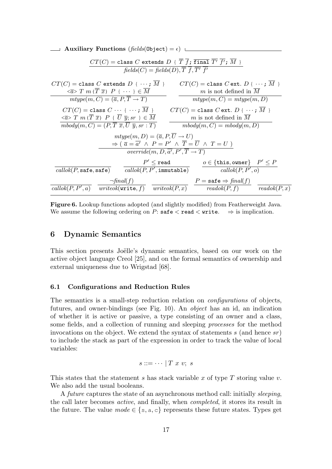| Auxiliary Functions (fields(0bject) = $\epsilon$ )                                                                                                                                                                                     |                                                                        |  |  |  |
|----------------------------------------------------------------------------------------------------------------------------------------------------------------------------------------------------------------------------------------|------------------------------------------------------------------------|--|--|--|
| $CT(C) =$ class C extends D { $\overline{T}$ $f$ ; $\overline{f}$ inal $\overline{T'}$ $f'$ ; $\overline{M}$ }<br>$fields(C) = fields(D), \overline{T} \ \overline{f}, \overline{T'} \ \overline{f'}$                                  |                                                                        |  |  |  |
| $CT(C) = \text{class } C \text{ extends } D \{ \cdots ; M \}$                                                                                                                                                                          | $CT(C) = \text{class } C \text{ ext. } D \{ \cdots \} \overline{M} \}$ |  |  |  |
| $\langle \overline{a} \rangle T m(\overline{T} \ \overline{x}) P \ \{ \ \cdots \ \} \in \overline{M}$                                                                                                                                  | $m$ is not defined in $M$                                              |  |  |  |
| $mtype(m, C) = (\overline{a}, P, \overline{T} \rightarrow T)$                                                                                                                                                                          | $mtype(m, C) = mtype(m, D)$                                            |  |  |  |
| $CT(C) = \text{class } C \cdots \{ \cdots; \overline{M} \}$                                                                                                                                                                            | $CT(C) = \text{class } C \text{ ext. } D \{ \cdots \} \overline{M} \}$ |  |  |  |
| $\langle \overline{a} \rangle T \; m \; (\overline{T} \; \overline{x}) \; P \; \{ \; \overline{U} \; \overline{y}; sr \; \} \in \overline{M}$                                                                                          | $m$ is not defined in $M$                                              |  |  |  |
| $mbody(m, C) = (P, \overline{T}, \overline{x}, \overline{U}, \overline{y}, sr : T)$                                                                                                                                                    | $m$ body $(m, C) = m$ body $(m, D)$                                    |  |  |  |
| $mtype(m, D) = (\overline{a}, P, \overline{U} \rightarrow U)$<br>$\Rightarrow$ $(\overline{a} = \overline{a'} \land P = P' \land \overline{T} = \overline{U} \land T = U)$<br>override $(m, D, \overline{a'}, P', \overline{T} \to T)$ |                                                                        |  |  |  |
| $P' \le \texttt{read}$                                                                                                                                                                                                                 | $o \in {\{\mathtt{this}, \mathtt{owner}\}} \quad P' \leq P$            |  |  |  |
| $\mathit{callok}(P, \texttt{safe}, \texttt{safe})$ $\qquad \mathit{callok}(P, P', \texttt{immutable})$                                                                                                                                 | $calock}(P,P',o)$                                                      |  |  |  |
| $\neg final(f)$                                                                                                                                                                                                                        | $P = \texttt{safe} \Rightarrow \textit{final}(f)$                      |  |  |  |
| $\text{callok}(P, P', a)$ writeok(write, f) writeok(P, x) readok(P, f)                                                                                                                                                                 | readok(P, x)                                                           |  |  |  |

Figure 6. Lookup functions adopted (and slightly modified) from Featherweight Java. We assume the following ordering on P:  $\text{safe} < \text{read} < \text{write}$ .  $\Rightarrow$  is implication.

## 6 Dynamic Semantics

This section presents Joëlle's dynamic semantics, based on our work on the active object language Creol [25], and on the formal semantics of ownership and external uniqueness due to Wrigstad [68].

#### 6.1 Configurations and Reduction Rules

The semantics is a small-step reduction relation on configurations of objects, futures, and owner-bindings (see Fig. 10). An object has an id, an indication of whether it is active or passive, a type consisting of an owner and a class, some fields, and a collection of running and sleeping processes for the method invocations on the object. We extend the syntax of statements s (and hence  $sr$ ) to include the stack as part of the expression in order to track the value of local variables:

$$
s ::= \cdots | T x v; s
$$

This states that the statement s has stack variable x of type  $T$  storing value v. We also add the usual booleans.

A future captures the state of an asynchronous method call: initially sleeping, the call later becomes active, and finally, when completed, it stores its result in the future. The value  $mode \in \{s, a, c\}$  represents these future states. Types get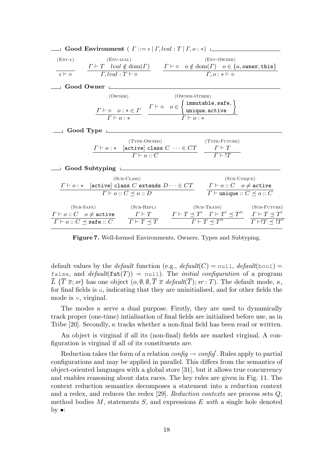|                  | <b>Good Environment</b> ( $\Gamma ::= \epsilon   \Gamma, lval : T   \Gamma, o : *)$ L                                                                                                                                                                                                                                                                            |              |               |                                                                  |  |
|------------------|------------------------------------------------------------------------------------------------------------------------------------------------------------------------------------------------------------------------------------------------------------------------------------------------------------------------------------------------------------------|--------------|---------------|------------------------------------------------------------------|--|
| $(ENV-\epsilon)$ | $(ENV-LVAL)$                                                                                                                                                                                                                                                                                                                                                     |              |               | $(env-OWNER)$                                                    |  |
|                  | $\overbrace{\epsilon \vdash \diamond} \qquad \frac{\Gamma \vdash T \quad lval \notin \mathrm{dom}(\Gamma)}{\Gamma, lval : T \vdash \diamond} \qquad \frac{\Gamma \vdash \diamond \quad o \notin \mathrm{dom}(\Gamma) \quad o \in \{a, \text{owner}, \text{this}\}}{\Gamma, o : * \vdash \diamond}$                                                               |              |               |                                                                  |  |
| Good Owner L     |                                                                                                                                                                                                                                                                                                                                                                  |              |               |                                                                  |  |
|                  | (OWNER)<br>$\begin{tabular}{c c} $ $\Gamma\vdash \diamond\ \ o\colon *\in\varGamma$ & $ $\Gamma\vdash \diamond\ \ o\in\left\{ \begin{array}{l} \text{immutable},\text{safe},\\ \text{unique},\text{active} \end{array}\right\}$ \\ \hline $ $\Gamma\vdash o\colon *\ $ & $\Gamma\vdash o\colon *\ $ \end{tabular}$                                               |              | (OWNER-OTHER) |                                                                  |  |
| Good Type $\Box$ |                                                                                                                                                                                                                                                                                                                                                                  |              |               |                                                                  |  |
|                  | $\frac{\Gamma\vdash o:\ast\quad\text{[active] class $C$}\,\cdots\in CT}{\Gamma\vdash o\cdots C}\quad\frac{\Gamma\vdash T}{\Gamma\vdash !T}$                                                                                                                                                                                                                      | (TYPE-OWNED) |               | $(TYPE-FUTURE)$                                                  |  |
|                  | Good Subtyping                                                                                                                                                                                                                                                                                                                                                   |              |               |                                                                  |  |
|                  | $(SUB-CLASS)$<br>$\Gamma \vdash o : *$ [active] class C extends $D \cdots \in CT$ $\Gamma \vdash o :: C$ $o \neq$ active<br>$\Gamma\vdash o::C\preceq o::D$                                                                                                                                                                                                      |              |               | $(SUB-UNIQUE)$<br>$\Gamma \vdash$ unique :: $C \preceq o$ :: $C$ |  |
|                  | (SUB-SAFE) (SUB-REFL)<br>$\frac{\Gamma\vdash o::C\quad o\neq \texttt{active}}{\Gamma\vdash o::C\preceq \texttt{safe}::C} \quad\quad \frac{\Gamma\vdash T}{\Gamma\vdash T\preceq T} \quad\quad \frac{\Gamma\vdash T\preceq T'\quad \Gamma\vdash T'\preceq T''}{\Gamma\vdash T\preceq T''} \quad\quad \frac{\Gamma\vdash T\preceq T'}{\Gamma\vdash !T\preceq !T'}$ |              |               | (SUB-TRANS) (SUB-FUTURE)                                         |  |

Figure 7. Well-formed Environments, Owners, Types and Subtyping.

default values by the *default* function (e.g.,  $default(C) = null$ ,  $default(bool) =$ false, and  $default(fut(T)) = null$ . The *initial configuration* of a program  $\overline{L} \{\overline{T} \overline{x}; s r\}$  has one object  $(o, \emptyset, \emptyset, \overline{T} \overline{x} \text{ default}(\overline{T}); s r : T)$ . The default mode,  $\kappa$ , for final fields is u, indicating that they are uninitialised, and for other fields the mode is v, virginal.

The modes  $\kappa$  serve a dual purpose. Firstly, they are used to dynamically track proper (one-time) intialisation of final fields are initialised before use, as in Tribe [20]. Secondly,  $\kappa$  tracks whether a non-final field has been read or written.

An object is virginal if all its (non-final) fields are marked virginal. A configuration is virginal if all of its constituents are.

Reduction takes the form of a relation  $\text{config} \rightarrow \text{config}'$ . Rules apply to partial configurations and may be applied in parallel. This differs from the semantics of object-oriented languages with a global store [31], but it allows true concurrency and enables reasoning about data races. The key rules are given in Fig. 11. The context reduction semantics decomposes a statement into a reduction context and a redex, and reduces the redex [29]. Reduction contexts are process sets Q, method bodies  $M$ , statements  $S$ , and expressions  $E$  with a single hole denoted by  $\bullet$ :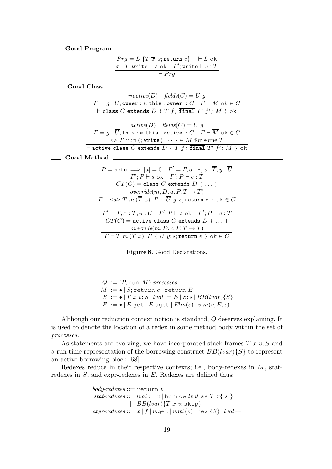| Good Program                                                                                                                                                                                                                                                                                                                                                                                                                                                                                                                       |
|------------------------------------------------------------------------------------------------------------------------------------------------------------------------------------------------------------------------------------------------------------------------------------------------------------------------------------------------------------------------------------------------------------------------------------------------------------------------------------------------------------------------------------|
| $Prg = \overline{L} \{ \overline{T} \overline{x}; s;$ return $e \}$ $\vdash \overline{L}$ ok<br>$\overline{x}$ : $\overline{T}$ ; write $\vdash s$ ok $\Gamma'$ ; write $\vdash e : T$<br>$\overline{\vdash} Prg$                                                                                                                                                                                                                                                                                                                  |
| Good Class                                                                                                                                                                                                                                                                                                                                                                                                                                                                                                                         |
| $\neg active(D)$ fields $(C) = \overline{U} \overline{q}$<br>$\Gamma = \overline{g} : \overline{U}$ , owner: *, this: owner: $C \quad \Gamma \vdash \overline{M}$ ok $\in C$<br>$\overline{I}$ + class $\overline{C}$ extends $D$ { $\overline{T}$ $\overline{f}$ ; $\overline{I}$ $\overline{I}$ and $\overline{T'}$ $\overline{f'}$ ; $\overline{M}$ } ok                                                                                                                                                                        |
| $active(D)$ fields $(C) = \overline{U} \overline{q}$<br>$\Gamma = \overline{g} : \overline{U}$ , this: *, this: active:: $C \quad \Gamma \vdash \overline{M}$ ok $\in C$<br>$\iff T$ run () write $\{\cdots\}\in \overline{M}$ for some $T$<br>$\vdash$ active class $C$ extends $D \in \overline{T}$ $\overline{f}$ ; $\overline{f}$ inal $\overline{T'}$ $\overline{f'}$ ; $\overline{M}$ } ok                                                                                                                                   |
| Good Method                                                                                                                                                                                                                                                                                                                                                                                                                                                                                                                        |
| $P = \texttt{safe} \implies  \overline{a}  = 0 \quad \Gamma' = \Gamma, \overline{a}:*, \overline{x} : \overline{T}, \overline{y} : \overline{U}$<br>$\Gamma'; P \vdash s \text{ ok } \Gamma'; P \vdash e : T$<br>$CT(C) = \text{class } C \text{ extends } D \text{ } \{\dots\}$<br>$override(m, D, \overline{a}, P, \overline{T} \rightarrow T)$<br>$\overline{\Gamma \vdash \langle \overline{a} \rangle \ T \ m}$ ( $\overline{T} \ \overline{x}$ ) $P \ \{\ \overline{U} \ \overline{y}; s;$ return $e \ \} \ \text{ok} \in C$ |
| $\Gamma' = \Gamma, \overline{x} : \overline{T}, \overline{y} : \overline{U} \quad \Gamma'; P \vdash s \text{ ok } \Gamma'; P \vdash e : T$<br>$CT(C)$ = active class C extends D {  }<br>override $(m, D, \epsilon, P, \overline{T} \to T)$<br>$\overline{\Gamma \vdash T \ m \ (\overline{T} \ \overline{x}) \ P \ \{\ \overline{U} \ \overline{y}; s; \texttt{return } e \ \} \ \text{ok} \in C$                                                                                                                                 |

Figure 8. Good Declarations.

$$
Q ::= (P, run, M) processes
$$
  
\n
$$
M ::= \bullet | S; return e | return E
$$
  
\n
$$
S ::= \bullet | T x v; S | lval := E | S; s | BB(lvar){S}
$$
  
\n
$$
E ::= \bullet | E.get | E.update | E | m(\overline{e}) | v! m(\overline{v}, E, \overline{e})
$$

Although our reduction context notion is standard, Q deserves explaining. It is used to denote the location of a redex in some method body within the set of processes.

As statements are evolving, we have incorporated stack frames  $T x v; S$  and a run-time representation of the borrowing construct  $BB(lvar){S}$  to represent an active borrowing block [68].

Redexes reduce in their respective contexts; i.e., body-redexes in  $M$ , statredexes in  $S$ , and expr-redexes in  $E$ . Redexes are defined thus:

```
body\text{-}redexes ::= \texttt{return } vstat\text{-}rederes ::= lval := v \, | \, \text{borrow} \, lval \, \, \text{as} \, \, T \, \, x \{ \, s \, \}| BB(lvar)\{\overline{T}\ \overline{x}\ \overline{v};skip}
expr\text{-}redexes ::= x | f | v\text{-}get | v.m!(\overline{v}) | \text{new } C() | lval-
```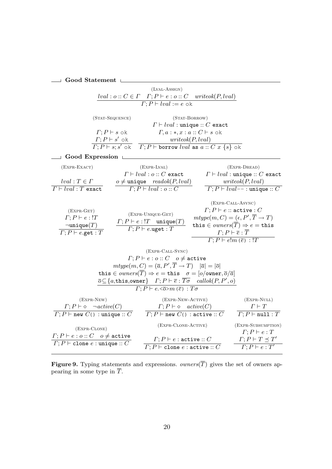### $\begin{tabular}{c} $\hspace{2.5ex}\text{---}\hspace{2.2ex}$ Good Statement \end{tabular}$

|                                                                                                                                    |                                                                     | $(LVAL-AssIGN)$                                                                                                                                                                                                                                |                                          |                                                                                                                                                                                                                                                                                               |
|------------------------------------------------------------------------------------------------------------------------------------|---------------------------------------------------------------------|------------------------------------------------------------------------------------------------------------------------------------------------------------------------------------------------------------------------------------------------|------------------------------------------|-----------------------------------------------------------------------------------------------------------------------------------------------------------------------------------------------------------------------------------------------------------------------------------------------|
|                                                                                                                                    |                                                                     | $\frac{lval: o: C \in \Gamma \quad \Gamma; P \vdash e: o:: C}{\Gamma; P \vdash lval := e \text{ ok}}$                                                                                                                                          | writeok(P, lval)                         |                                                                                                                                                                                                                                                                                               |
|                                                                                                                                    |                                                                     |                                                                                                                                                                                                                                                |                                          |                                                                                                                                                                                                                                                                                               |
|                                                                                                                                    | (STAT-SEQUENCE)                                                     |                                                                                                                                                                                                                                                | (STAT-BORROW)                            |                                                                                                                                                                                                                                                                                               |
|                                                                                                                                    |                                                                     |                                                                                                                                                                                                                                                | $\Gamma \vdash lval :$ unique :: C exact |                                                                                                                                                                                                                                                                                               |
|                                                                                                                                    | $\Gamma;P\vdash s$ ok                                               |                                                                                                                                                                                                                                                | $\Gamma, a:*, x: a::C\vdash s$ ok        |                                                                                                                                                                                                                                                                                               |
|                                                                                                                                    |                                                                     |                                                                                                                                                                                                                                                | writeok(P, lval)                         |                                                                                                                                                                                                                                                                                               |
|                                                                                                                                    | $\frac{\Gamma;P\vdash s'\text{ ok}}{\Gamma;P\vdash s;s'\text{ ok}}$ | $\boxed{\Gamma;P \vdash$ borrow <i>lval</i> as $a::C \; x \; \{s\}$ ok                                                                                                                                                                         |                                          |                                                                                                                                                                                                                                                                                               |
| $\lrcorner \;\; \text{Good Expression} \;\; \Box$                                                                                  |                                                                     |                                                                                                                                                                                                                                                |                                          |                                                                                                                                                                                                                                                                                               |
| $(EXPR-EXACT)$                                                                                                                     |                                                                     | $(EXPR-LVAL)$                                                                                                                                                                                                                                  |                                          | $(EXPR-DREAD)$                                                                                                                                                                                                                                                                                |
|                                                                                                                                    |                                                                     | $\Gamma \vdash lval : o :: C$ exact                                                                                                                                                                                                            |                                          | $\Gamma \vdash lval :$ unique :: C exact                                                                                                                                                                                                                                                      |
| $lval: T \in \Gamma$                                                                                                               |                                                                     |                                                                                                                                                                                                                                                |                                          | writeok(P, lval)                                                                                                                                                                                                                                                                              |
| $\overline{\Gamma \vdash lval : T}$ exact                                                                                          |                                                                     | $o \neq$ unique $readok(P, lval)$<br>$\Gamma; P \vdash lval : o :: C$                                                                                                                                                                          |                                          | $\Gamma$ : $P \vdash lval$ - - : unique :: $C$                                                                                                                                                                                                                                                |
| $(EXPR-GET)$<br>$\Gamma; P \vdash e : !T$<br>$\neg$ unique $(T)$<br>$\overline{\Gamma; P \vdash e.\textsf{get} : T}$               |                                                                     | (EXPR-UNIQUE-GET)<br>$\frac{\varGamma;P\vdash e:!T\quad\texttt{unique}(T)}{\varGamma;P\vdash e.\texttt{uget}:T}$                                                                                                                               |                                          | (EXPR-CALL-ASYNC)<br>$\Gamma;P\vdash e::$ active : C<br>$mtype(m, C) = (\epsilon, P', \overline{T} \to T)$<br>this $\in \textit{owners}(\overline{T}) \Rightarrow e = \texttt{this}$<br>$\Gamma;P \vdash \overline{e}:\overline{T}$<br>$\overline{\Gamma; P \vdash e! m (\overline{e}) : !T}$ |
|                                                                                                                                    |                                                                     | (EXPR-CALL-SYNC)                                                                                                                                                                                                                               |                                          |                                                                                                                                                                                                                                                                                               |
|                                                                                                                                    |                                                                     | $\Gamma;P\vdash e:o::C\quad o\neq \texttt{active}$                                                                                                                                                                                             |                                          |                                                                                                                                                                                                                                                                                               |
|                                                                                                                                    |                                                                     | $mtype(m, C) = (\overline{a}, P', \overline{T} \rightarrow T) \quad  \overline{a}  =  \overline{o} $                                                                                                                                           |                                          |                                                                                                                                                                                                                                                                                               |
|                                                                                                                                    |                                                                     | this $\in \text{owners}(\overline{T}) \Rightarrow e = \text{this} \quad \sigma = [\text{o}/\text{owner}, \overline{\text{o}}/\overline{a}]$                                                                                                    |                                          |                                                                                                                                                                                                                                                                                               |
|                                                                                                                                    |                                                                     | $\overline{o} \subseteq \{a, \mathtt{this}, \mathtt{owner}\}$ $\Gamma; P \vdash \overline{e} : \overline{T\sigma}$ callok $(P, P', o)$<br>$\overline{\Gamma; P \vdash e \cdot \langle \overline{\phi} \rangle m(\overline{e}) \cdot T \sigma}$ |                                          |                                                                                                                                                                                                                                                                                               |
| $(EXPR-NEW)$<br>$\frac{\Gamma; P \vdash \diamond -\mathit{active}(C)}{\Gamma; P \vdash \mathtt{new} \ C() : \mathtt{unique} :: C}$ |                                                                     | (EXPR-NEW-ACTIVE)<br>$\Gamma; P \vdash \diamond \quad \mathit{active}(C)$<br>$\overline{\Gamma; P \vdash \texttt{new } C}$ : active :: $C$                                                                                                     |                                          | $(EXPR-NULL)$<br>$\Gamma \vdash T$<br>$\boxed{\varGamma;P\vdash \texttt{null}:T}$                                                                                                                                                                                                             |
| (EXPR-CLONE)                                                                                                                       |                                                                     | (EXPR-CLONE-ACTIVE)                                                                                                                                                                                                                            |                                          | (EXPR-SUBSUMPTION)                                                                                                                                                                                                                                                                            |
| $\Gamma;P\vdash e:o::C\quad o\neq \texttt{active}$<br>$\boxed{\Gamma; P \vdash \texttt{clone}~e : \texttt{unique} :: C}$           |                                                                     | $\Gamma; P \vdash e :$ active :: C<br>$\overline{\varGamma;P\vdash \texttt{clone}\ e:\texttt{active}::C}$                                                                                                                                      |                                          | $\Gamma;P\vdash e:T$<br>$\Gamma; P \vdash T \preceq T'$<br>$\overline{\varGamma;P\vdash e:T'}$                                                                                                                                                                                                |
|                                                                                                                                    |                                                                     |                                                                                                                                                                                                                                                |                                          |                                                                                                                                                                                                                                                                                               |

**Figure 9.** Typing statements and expressions. *owners*(T) gives the set of owners appearing in some type in T.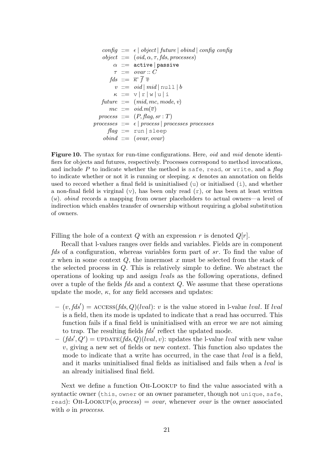$$
\begin{array}{l} \textit{config} \ ::= \ \epsilon \ | \ \textit{object} \ | \ \textit{future} \ | \ \textit{obind} \ | \ \textit{config} \ \textit{config} \\ \textit{object} \ ::= \ \ (oid, \alpha, \tau, \textit{fds}, \textit{processes}) \\ \alpha \ ::= \ \texttt{active} \ | \ \texttt{passive} \\ \tau \ ::= \ \textit{ouar} \ :: C \\ \textit{fds} \ ::= \ \overline{\kappa} \ \overline{f} \ \overline{v} \\ v \ ::= \ \textit{oid} \ | \ \textit{mid} \ | \ \text{null} \ | \ b \\ \kappa \ ::= \ v \ | \ \text{r} \ | \ \text{w} \ | \ \text{u} \ | \ \text{i} \\ \textit{future} \ ::= \ \ (\textit{mid}, \textit{mc}, \textit{mode}, \ v) \\ \textit{mc} \ ::= \ \textit{oid} . \ \textit{m}(\overline{v}) \\ \textit{process} \ ::= \ \epsilon \ | \ \textit{process} \ | \ \textit{processes processes} \\ \textit{flag} \ ::= \ \text{run} \ | \ \text{sleep} \\ \textit{obind} \ ::= \ (\textit{ouar}, \textit{ouar}) \end{array}
$$

Figure 10. The syntax for run-time configurations. Here, *oid* and *mid* denote identifiers for objects and futures, respectively. Processes correspond to method invocations, and include P to indicate whether the method is safe, read, or write, and a  $flag$ to indicate whether or not it is running or sleeping.  $\kappa$  denotes an annotation on fields used to record whether a final field is uninitialised  $(u)$  or initialised  $(i)$ , and whether a non-final field is virginal  $(v)$ , has been only read  $(r)$ , or has been at least written (w). obind records a mapping from owner placeholders to actual owners—a level of indirection which enables transfer of ownership without requiring a global substitution of owners.

Filling the hole of a context Q with an expression r is denoted  $Q[r]$ .

Recall that l-values ranges over fields and variables. Fields are in component fds of a configuration, whereas variables form part of sr. To find the value of x when in some context  $Q$ , the innermost x must be selected from the stack of the selected process in Q. This is relatively simple to define. We abstract the operations of looking up and assign lvals as the following operations, defined over a tuple of the fields fds and a context Q. We assume that these operations update the mode,  $\kappa$ , for any field accesses and updates:

- $-(v, f ds') = \text{access}(f ds, Q)(l val): v$  is the value stored in l-value lval. If lval is a field, then its mode is updated to indicate that a read has occurred. This function fails if a final field is uninitialised with an error we are not aiming to trap. The resulting fields  $f ds'$  reflect the updated mode.
- $-(\text{fds}', Q') = \text{UPDATE}(\text{fds}, Q)(lval, v)$ : updates the l-value lval with new value  $v$ , giving a new set of fields or new context. This function also updates the mode to indicate that a write has occurred, in the case that *lval* is a field, and it marks uninitialised final fields as initialised and fails when a lval is an already initialised final field.

Next we define a function Oh-Lookup to find the value associated with a syntactic owner (this, owner or an owner parameter, though not unique, safe, read): OH-LOOKUP(*o, process*) = *ovar*, whenever *ovar* is the owner associated with *o* in *proccess*.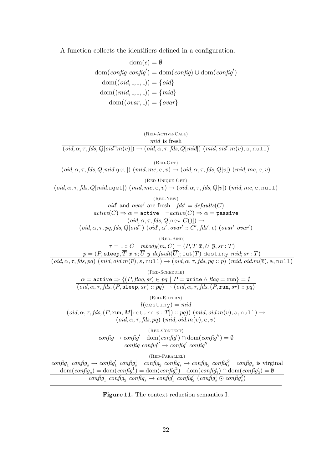A function collects the identifiers defined in a configuration:

$$
\text{dom}(\epsilon) = \emptyset
$$
\n
$$
\text{dom}(\text{config} \text{ config}') = \text{dom}(\text{config}) \cup \text{dom}(\text{config}')
$$
\n
$$
\text{dom}((\text{oid}, \_,\_,)) = \{ \text{oid} \}
$$
\n
$$
\text{dom}((\text{mid}, \_,\_,)) = \{ \text{mid} \}
$$
\n
$$
\text{dom}((\text{word}, \_,)) = \{ \text{over} \}
$$

| (RED-ACTIVE-CALL)<br>$mid$ is fresh                                                                                                                                                                                                                                                                                                                                                                                                                                                                         |
|-------------------------------------------------------------------------------------------------------------------------------------------------------------------------------------------------------------------------------------------------------------------------------------------------------------------------------------------------------------------------------------------------------------------------------------------------------------------------------------------------------------|
| $(\text{oid}, \alpha, \tau, \text{fds}, \text{Q}[\text{oid}';\text{m}(\overline{v})]) \rightarrow (\text{oid}, \alpha, \tau, \text{fds}, \text{Q}[\text{mid}]) (\text{mid}, \text{oid}', \text{m}(\overline{v}), \text{s}, \text{null})$                                                                                                                                                                                                                                                                    |
| $(RED-GET)$<br>$(\text{oid}, \alpha, \tau, \text{fds}, \text{Q}[mid, \text{get}])$ $(\text{mid}, \text{mc}, \text{c}, v) \rightarrow (\text{oid}, \alpha, \tau, \text{fds}, \text{Q}[v])$ $(\text{mid}, \text{mc}, \text{c}, v)$                                                                                                                                                                                                                                                                            |
| $(RED-UNIQUE-GET)$<br>$(\text{oid}, \alpha, \tau, \text{fds}, \text{Q}[mid, \text{uget}])$ (mid, mc, c, v) $\rightarrow$ (oid, $\alpha, \tau, \text{fds}, \text{Q}[v]$ ) (mid, mc, c, null)                                                                                                                                                                                                                                                                                                                 |
| $(RED-NEW)$<br>oid' and ovar' are fresh $fds' = defaults(C)$<br>$\frac{active(C) \Rightarrow \alpha = \texttt{active} \quad \neg active(C) \Rightarrow \alpha = \texttt{passive}}{(oid, \alpha, \tau, fds, Q[\texttt{new } C)]) \rightarrow}$<br>$(\text{oid}, \alpha, \tau, pq, \text{fds}, Q[\text{oid}'])$ $(\text{oid}', \alpha', \text{ovar}']$ : $C', \text{fds}', \epsilon)$ $(\text{ovar}' \text{ovar}')$                                                                                           |
| $(RED-BIND)$<br>$\tau = \ldots C \quad mbody(m, C) = (P, \overline{T}, \overline{x}, \overline{U}, \overline{y}, sr : T)$<br>$p=(P,\texttt{sleep},\overline{T}\ \overline{x}\ \overline{v};\overline{U}\ \overline{y}\ \textit{default}(\overline{U});\texttt{fut}(T)\ \texttt{destiny}\ \textit{mid};sr:T)$<br>$\overline{(oid, \alpha, \tau, fds, pq) (mid, oid.m(\overline{v}), s, null) \rightarrow (oid, \alpha, \tau, fds, pq::p) (mid, oid.m(\overline{v}), a, null)}$                               |
| $(RED-SCHEDULE)$<br>$\alpha =$ active $\Rightarrow \{(P, flag, sr) \in pq \mid P =$ write $\land flag =$ run $\} = \emptyset$<br>$(\text{oid}, \alpha, \tau, \text{fds}, (P, \text{sleep}, sr) :: pq) \rightarrow (\text{oid}, \alpha, \tau, \text{fds}, (P, \text{run}, sr) :: pq)$                                                                                                                                                                                                                        |
| $(RED-RETURN)$<br>$\frac{l(\text{destiny}) = mid}{(oid, \alpha, \tau, fds, (P, run, M[\text{return } v : T]): pq)) (mid, oil.m(\overline{v}), a, null) \rightarrow$<br>$(\text{oid}, \alpha, \tau, \text{fds}, \text{pg})$ $(\text{mid}, \text{oid}.m(\overline{v}), c, v)$                                                                                                                                                                                                                                 |
| $(RED-CONTEXT)$<br>$\overline{config} \to \textit{config}' \quad \text{dom}(\textit{config}') \cap \text{dom}(\textit{config}'') = \emptyset$<br>$\overline{\text{config}}$ confia'' $\rightarrow$ confia'' confia''                                                                                                                                                                                                                                                                                        |
| $(RED-PARALLEL)$<br>config <sub>1</sub> config <sub>s</sub> $\rightarrow$ config <sub>1</sub> config <sub>2</sub> config <sub>2</sub> config <sub>s</sub> $\rightarrow$ config <sub>2</sub> config <sub>s</sub> config <sub>s</sub> is virginal<br>$\text{dom}(config_s) = \text{dom}(config_s^1) = \text{dom}(config_s^2) \quad \text{dom}(config_1') \cap \text{dom}(config_2') = \emptyset$<br>$\overline{config_1 \; config_2 \; config_3 \to confiq'_1 \; config'_2 \; (config_3^1 \odot confiq_3^2)}$ |
|                                                                                                                                                                                                                                                                                                                                                                                                                                                                                                             |

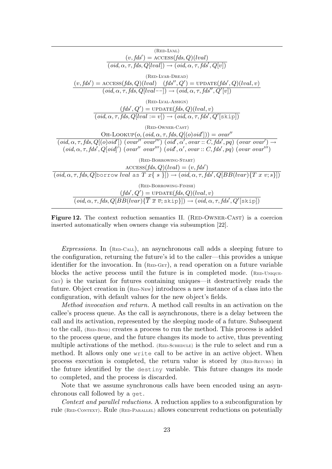| (RED-LVAL)<br>$(v, fds') = \text{ACCESS}(fds, Q)(lval)$<br>$(\text{oid}, \alpha, \tau, \text{fds}, Q[\text{lval}]) \rightarrow (\text{oid}, \alpha, \tau, \text{fds}', Q[\text{v}])$                                                                                                                                                                                                           |
|------------------------------------------------------------------------------------------------------------------------------------------------------------------------------------------------------------------------------------------------------------------------------------------------------------------------------------------------------------------------------------------------|
| $(RED-LVAR-DREAD)$<br>$(v, fds') = \text{access}(fds, Q)(lval)$ $(fds'', Q') = \text{UPDATE}(fds', Q)(lval, v)$<br>$(\text{oid}, \alpha, \tau, \text{fds}, Q[lval--]) \rightarrow (\text{oid}, \alpha, \tau, \text{fds}'', Q'[v])$                                                                                                                                                             |
| $(RED-LVAL-ASSIGN)$                                                                                                                                                                                                                                                                                                                                                                            |
| $(fds', Q') = \text{UPDATE}(fds, Q)(lval, v)$<br>$\overline{(oid, \alpha, \tau, \text{fds}, \text{Q}[lval := v]) \rightarrow (oid, \alpha, \tau, \text{fds}', \text{Q}'[\text{skip}])}$                                                                                                                                                                                                        |
| $(RED-OWNER-CAST)$                                                                                                                                                                                                                                                                                                                                                                             |
| OH-LOOKUP $(o, (oid, \alpha, \tau, fds, Q[(o)oid])) = ovar''$                                                                                                                                                                                                                                                                                                                                  |
| $(\text{oid}, \alpha, \tau, \text{fds}, Q(\text{[o)}\text{oid}'))$ $(\text{ovar}'' \text{ovar}''') (\text{oid}', \alpha', \text{ovar} :: C, \text{fds}', \text{pg}) (\text{ovar} \text{ovar}') \rightarrow$<br>$(\text{oid}, \alpha, \tau, \text{fds}', Q[\text{oid}]') (\text{ovar}'' \text{ovar}''') (\text{oid}', \alpha', \text{ovar} :: C, \text{fds}', pq) (\text{ovar} \text{ovar}''')$ |
| (RED-BORROWING-START)                                                                                                                                                                                                                                                                                                                                                                          |
| $\text{ACCESS}(fds, Q)(lval) = (v, fds')$                                                                                                                                                                                                                                                                                                                                                      |
| $(\text{oid}, \alpha, \tau, \text{fds}, Q[\text{borrow }lval \text{ as } T \ x \{ s \}]) \rightarrow (\text{oid}, \alpha, \tau, \text{fds}', Q[\text{BB}(lvar) \{ T \ x \ v; s \}])$                                                                                                                                                                                                           |
| (RED-BORROWING-FINISH)<br>$(fds', Q') = \text{UPDATE}(fds, Q)(lval, v)$<br>$(\text{oid}, \alpha, \tau, \text{fds}, \text{Q}[BB(lvar)\{T\ \overline{x}\ \overline{v}; \text{skip}]\}) \rightarrow (\text{oid}, \alpha, \tau, \text{fds}', \text{Q}'[\text{skip}])$                                                                                                                              |
|                                                                                                                                                                                                                                                                                                                                                                                                |

Figure 12. The context reduction semantics II. (RED-OWNER-CAST) is a coercion inserted automatically when owners change via subsumption [22].

 $Expressions.$  In  $(RED-CAL)$ , an asynchronous call adds a sleeping future to the configuration, returning the future's id to the caller—this provides a unique identifier for the invocation. In  $(R_{ED-GET})$ , a read operation on a future variable blocks the active process until the future is in completed mode.  $(RED-UNIQUE-$ GET) is the variant for futures containing uniques—it destructively reads the future. Object creation in  $(R_{ED-NEW})$  introduces a new instance of a class into the configuration, with default values for the new object's fields.

Method invocation and return. A method call results in an activation on the callee's process queue. As the call is asynchronous, there is a delay between the call and its activation, represented by the sleeping mode of a future. Subsequent to the call,  $(RED-BIND)$  creates a process to run the method. This process is added to the process queue, and the future changes its mode to active, thus preventing multiple activations of the method.  $(RED-SCHEDULE)$  is the rule to select and run a method. It allows only one write call to be active in an active object. When process execution is completed, the return value is stored by (RED-RETURN) in the future identified by the destiny variable. This future changes its mode to completed, and the process is discarded.

Note that we assume synchronous calls have been encoded using an asynchronous call followed by a get.

Context and parallel reductions. A reduction applies to a subconfiguration by rule (RED-CONTEXT). Rule (RED-PARALLEL) allows concurrent reductions on potentially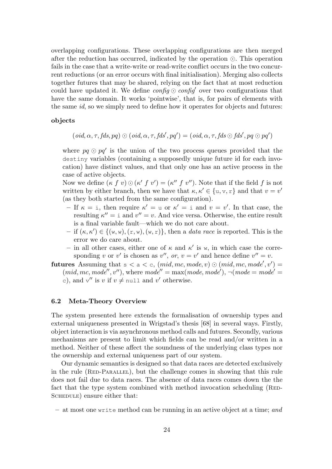overlapping configurations. These overlapping configurations are then merged after the reduction has occurred, indicated by the operation  $\odot$ . This operation fails in the case that a write-write or read-write conflict occurs in the two concurrent reductions (or an error occurs with final initialisation). Merging also collects together futures that may be shared, relying on the fact that at most reduction could have updated it. We define  $\mathit{config} \odot \mathit{config}'$  over two configurations that have the same domain. It works 'pointwise', that is, for pairs of elements with the same id, so we simply need to define how it operates for objects and futures:

#### objects

$$
(\text{oid}, \alpha, \tau, \text{fds}, pq) \odot (\text{oid}, \alpha, \tau, \text{fds}', pq') = (\text{oid}, \alpha, \tau, \text{fds} \odot \text{fds}', pq \odot pq')
$$

where  $pq \odot pq'$  is the union of the two process queues provided that the destiny variables (containing a supposedly unique future id for each invocation) have distinct values, and that only one has an active process in the case of active objects.

Now we define  $(\kappa f v) \odot (\kappa' f v') = (\kappa'' f v'')$ . Note that if the field f is not written by either branch, then we have that  $\kappa, \kappa' \in \{u, v, r\}$  and that  $v = v'$ (as they both started from the same configuration).

- $-$  If  $\kappa = i$ , then require  $\kappa' = u$  or  $\kappa' = i$  and  $v = v'$ . In that case, the resulting  $\kappa'' = i$  and  $v'' = v$ . And vice versa. Otherwise, the entire result is a final variable fault—which we do not care about.
- $-$  if  $(\kappa, \kappa') \in \{ (\mathbf{w}, \mathbf{w}), (\mathbf{r}, \mathbf{w}), (\mathbf{w}, \mathbf{r}) \}$ , then a *data race* is reported. This is the error we do care about.
- in all other cases, either one of  $\kappa$  and  $\kappa'$  is w, in which case the corresponding v or v' is chosen as v'', or,  $v = v'$  and hence define  $v'' = v$ .
- **futures** Assuming that  $s < a < c$ ,  $(mid, mc, mode, v) \odot (mid, mc, mode', v') =$  $(mid, mc, mode'', v'')$ , where  $mode'' = max(model, mode'), \neg (mode = mode' =$ c), and  $v''$  is v if  $v \neq \text{null}$  and v' otherwise.

#### 6.2 Meta-Theory Overview

The system presented here extends the formalisation of ownership types and external uniqueness presented in Wrigstad's thesis [68] in several ways. Firstly, object interaction is via asynchronous method calls and futures. Secondly, various mechanisms are present to limit which fields can be read and/or written in a method. Neither of these affect the soundness of the underlying class types nor the ownership and external uniqueness part of our system.

Our dynamic semantics is designed so that data races are detected exclusively in the rule (RED-PARALLEL), but the challenge comes in showing that this rule does not fail due to data races. The absence of data races comes down the the fact that the type system combined with method invocation scheduling (RED-SCHEDULE) ensure either that:

 $-$  at most one write method can be running in an active object at a time; and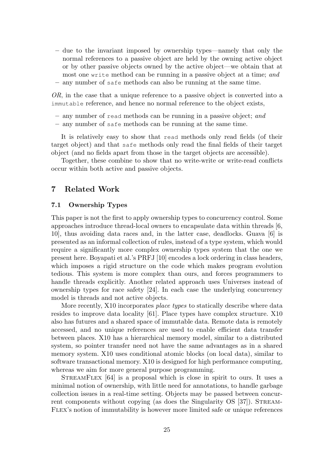- due to the invariant imposed by ownership types—namely that only the normal references to a passive object are held by the owning active object or by other passive objects owned by the active object—we obtain that at most one write method can be running in a passive object at a time; and
- any number of safe methods can also be running at the same time.

OR, in the case that a unique reference to a passive object is converted into a immutable reference, and hence no normal reference to the object exists,

- any number of read methods can be running in a passive object; and
- any number of safe methods can be running at the same time.

It is relatively easy to show that read methods only read fields (of their target object) and that safe methods only read the final fields of their target object (and no fields apart from those in the target objects are accessible).

Together, these combine to show that no write-write or write-read conflicts occur within both active and passive objects.

## 7 Related Work

#### 7.1 Ownership Types

This paper is not the first to apply ownership types to concurrency control. Some approaches introduce thread-local owners to encapsulate data within threads [6, 10], thus avoiding data races and, in the latter case, deadlocks. Guava [6] is presented as an informal collection of rules, instead of a type system, which would require a significantly more complex ownership types system that the one we present here. Boyapati et al.'s PRFJ [10] encodes a lock ordering in class headers, which imposes a rigid structure on the code which makes program evolution tedious. This system is more complex than ours, and forces programmers to handle threads explicitly. Another related approach uses Universes instead of ownership types for race safety [24]. In each case the underlying concurrency model is threads and not active objects.

More recently, X10 incorporates place types to statically describe where data resides to improve data locality [61]. Place types have complex structure. X10 also has futures and a shared space of immutable data. Remote data is remotely accessed, and no unique references are used to enable efficient data transfer between places. X10 has a hierarchical memory model, similar to a distributed system, so pointer transfer need not have the same advantages as in a shared memory system. X10 uses conditional atomic blocks (on local data), similar to software transactional memory. X10 is designed for high performance computing, whereas we aim for more general purpose programming.

StreamFlex [64] is a proposal which is close in spirit to ours. It uses a minimal notion of ownership, with little need for annotations, to handle garbage collection issues in a real-time setting. Objects may be passed between concurrent components without copying (as does the Singularity OS [37]). STREAM-Flex's notion of immutability is however more limited safe or unique references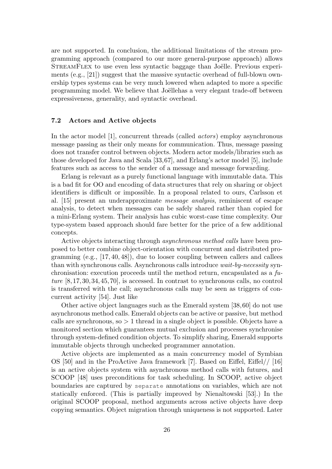are not supported. In conclusion, the additional limitations of the stream programming approach (compared to our more general-purpose approach) allows STREAMFLEX to use even less syntactic baggage than Joëlle. Previous experiments  $(e.g., [21])$  suggest that the massive syntactic overhead of full-blown ownership types systems can be very much lowered when adapted to more a specific programming model. We believe that Joëllehas a very elegant trade-off between expressiveness, generality, and syntactic overhead.

#### 7.2 Actors and Active objects

In the actor model [1], concurrent threads (called *actors*) employ asynchronous message passing as their only means for communication. Thus, message passing does not transfer control between objects. Modern actor models/libraries such as those developed for Java and Scala [33,67], and Erlang's actor model [5], include features such as access to the sender of a message and message forwarding.

Erlang is relevant as a purely functional language with immutable data. This is a bad fit for OO and encoding of data structures that rely on sharing or object identifiers is difficult or impossible. In a proposal related to ours, Carlsson et al. [15] present an underapproximate message analysis, reminiscent of escape analysis, to detect when messages can be safely shared rather than copied for a mini-Erlang system. Their analysis has cubic worst-case time complexity. Our type-system based approach should fare better for the price of a few additional concepts.

Active objects interacting through asynchronous method calls have been proposed to better combine object-orientation with concurrent and distributed programming (e.g., [17, 40, 48]), due to looser coupling between callers and callees than with synchronous calls. Asynchronous calls introduce wait-by-necessity synchronisation: execution proceeds until the method return, encapsulated as a  $fu$ ture [8, 17, 30, 34, 45, 70], is accessed. In contrast to synchronous calls, no control is transferred with the call; asynchronous calls may be seen as triggers of concurrent activity [54]. Just like

Other active object languages such as the Emerald system [38,60] do not use asynchronous method calls. Emerald objects can be active or passive, but method calls are synchronous, so  $> 1$  thread in a single object is possible. Objects have a monitored section which guarantees mutual exclusion and processes synchronise through system-defined condition objects. To simplify sharing, Emerald supports immutable objects through unchecked programmer annotation.

Active objects are implemented as a main concurrency model of Symbian OS [50] and in the ProActive Java framework [7]. Based on Eiffel, Eiffel// [16] is an active objects system with asynchronous method calls with futures, and SCOOP [48] uses preconditions for task scheduling. In SCOOP, active object boundaries are captured by separate annotations on variables, which are not statically enforced. (This is partially improved by Nienaltowski [53].) In the original SCOOP proposal, method arguments across active objects have deep copying semantics. Object migration through uniqueness is not supported. Later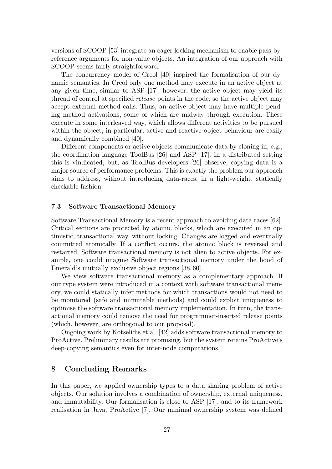versions of SCOOP [53] integrate an eager locking mechanism to enable pass-byreference arguments for non-value objects. An integration of our approach with SCOOP seems fairly straightforward.

The concurrency model of Creol [40] inspired the formalisation of our dynamic semantics. In Creol only one method may execute in an active object at any given time, similar to ASP [17]; however, the active object may yield its thread of control at specified release points in the code, so the active object may accept external method calls. Thus, an active object may have multiple pending method activations, some of which are midway through execution. These execute in some interleaved way, which allows different activities to be pursued within the object; in particular, active and reactive object behaviour are easily and dynamically combined [40].

Different components or active objects communicate data by cloning in, e.g., the coordination language ToolBus [26] and ASP [17]. In a distributed setting this is vindicated, but, as ToolBus developers [26] observe, copying data is a major source of performance problems. This is exactly the problem our approach aims to address, without introducing data-races, in a light-weight, statically checkable fashion.

#### 7.3 Software Transactional Memory

Software Transactional Memory is a recent approach to avoiding data races [62]. Critical sections are protected by atomic blocks, which are executed in an optimistic, transactional way, without locking. Changes are logged and eventually committed atomically. If a conflict occurs, the atomic block is reversed and restarted. Software transactional memory is not alien to active objects. For example, one could imagine Software transactional memory under the hood of Emerald's mutually exclusive object regions [38, 60].

We view software transactional memory as a complementary approach. If our type system were introduced in a context with software transactional memory, we could statically infer methods for which transactions would not need to be monitored (safe and immutable methods) and could exploit uniqueness to optimise the software transactional memory implementation. In turn, the transactional memory could remove the need for programmer-inserted release points (which, however, are orthogonal to our proposal).

Ongoing work by Kotselidis et al. [42] adds software transactional memory to ProActive. Preliminary results are promising, but the system retains ProActive's deep-copying semantics even for inter-node computations.

## 8 Concluding Remarks

In this paper, we applied ownership types to a data sharing problem of active objects. Our solution involves a combination of ownership, external uniqueness, and immutability. Our formalisation is close to ASP [17], and to its framework realisation in Java, ProActive [7]. Our minimal ownership system was defined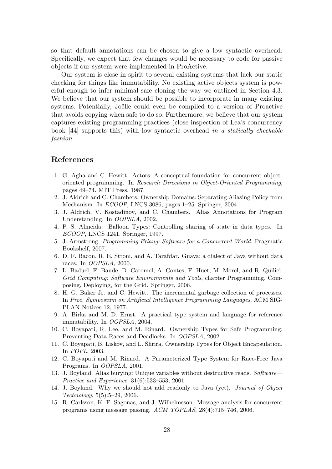so that default annotations can be chosen to give a low syntactic overhead. Specifically, we expect that few changes would be necessary to code for passive objects if our system were implemented in ProActive.

Our system is close in spirit to several existing systems that lack our static checking for things like immutability. No existing active objects system is powerful enough to infer minimal safe cloning the way we outlined in Section 4.3. We believe that our system should be possible to incorporate in many existing systems. Potentially, Joëlle could even be compiled to a version of Proactive that avoids copying when safe to do so. Furthermore, we believe that our system captures existing programming practices (close inspection of Lea's concurrency book [44] supports this) with low syntactic overhead in a statically checkable fashion.

## References

- 1. G. Agha and C. Hewitt. Actors: A conceptual foundation for concurrent objectoriented programming. In Research Directions in Object-Oriented Programming, pages 49–74. MIT Press, 1987.
- 2. J. Aldrich and C. Chambers. Ownership Domains: Separating Aliasing Policy from Mechanism. In ECOOP, LNCS 3086, pages 1–25. Springer, 2004.
- 3. J. Aldrich, V. Kostadinov, and C. Chambers. Alias Annotations for Program Understanding. In OOPSLA, 2002.
- 4. P. S. Almeida. Balloon Types: Controlling sharing of state in data types. In ECOOP, LNCS 1241. Springer, 1997.
- 5. J. Armstrong. Programming Erlang: Software for a Concurrent World. Pragmatic Bookshelf, 2007.
- 6. D. F. Bacon, R. E. Strom, and A. Tarafdar. Guava: a dialect of Java without data races. In OOPSLA, 2000.
- 7. L. Baduel, F. Baude, D. Caromel, A. Contes, F. Huet, M. Morel, and R. Quilici. Grid Computing: Software Environments and Tools, chapter Programming, Composing, Deploying, for the Grid. Springer, 2006.
- 8. H. G. Baker Jr. and C. Hewitt. The incremental garbage collection of processes. In Proc. Symposium on Artificial Intelligence Programming Languages, ACM SIG-PLAN Notices 12, 1977.
- 9. A. Birka and M. D. Ernst. A practical type system and language for reference immutability. In OOPSLA, 2004.
- 10. C. Boyapati, R. Lee, and M. Rinard. Ownership Types for Safe Programming: Preventing Data Races and Deadlocks. In OOPSLA, 2002.
- 11. C. Boyapati, B. Liskov, and L. Shrira. Ownership Types for Object Encapsulation. In POPL, 2003.
- 12. C. Boyapati and M. Rinard. A Parameterized Type System for Race-Free Java Programs. In OOPSLA, 2001.
- 13. J. Boyland. Alias burying: Unique variables without destructive reads. Software— Practice and Experience, 31(6):533–553, 2001.
- 14. J. Boyland. Why we should not add readonly to Java (yet). Journal of Object Technology, 5(5):5–29, 2006.
- 15. R. Carlsson, K. F. Sagonas, and J. Wilhelmsson. Message analysis for concurrent programs using message passing. ACM TOPLAS, 28(4):715–746, 2006.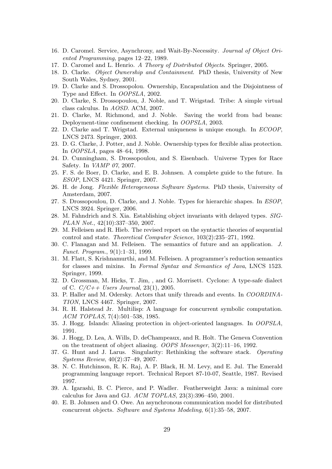- 16. D. Caromel. Service, Asynchrony, and Wait-By-Necessity. Journal of Object Oriented Programming, pages 12–22, 1989.
- 17. D. Caromel and L. Henrio. A Theory of Distributed Objects. Springer, 2005.
- 18. D. Clarke. Object Ownership and Containment. PhD thesis, University of New South Wales, Sydney, 2001.
- 19. D. Clarke and S. Drossopolou. Ownership, Encapsulation and the Disjointness of Type and Effect. In OOPSLA, 2002.
- 20. D. Clarke, S. Drossopoulou, J. Noble, and T. Wrigstad. Tribe: A simple virtual class calculus. In AOSD. ACM, 2007.
- 21. D. Clarke, M. Richmond, and J. Noble. Saving the world from bad beans: Deployment-time confinement checking. In OOPSLA, 2003.
- 22. D. Clarke and T. Wrigstad. External uniqueness is unique enough. In ECOOP, LNCS 2473. Springer, 2003.
- 23. D. G. Clarke, J. Potter, and J. Noble. Ownership types for flexible alias protection. In OOPSLA, pages 48–64, 1998.
- 24. D. Cunningham, S. Drossopoulou, and S. Eisenbach. Universe Types for Race Safety. In VAMP 07, 2007.
- 25. F. S. de Boer, D. Clarke, and E. B. Johnsen. A complete guide to the future. In ESOP, LNCS 4421. Springer, 2007.
- 26. H. de Jong. Flexible Heterogeneous Software Systems. PhD thesis, University of Amsterdam, 2007.
- 27. S. Drossopoulou, D. Clarke, and J. Noble. Types for hierarchic shapes. In ESOP, LNCS 3924. Springer, 2006.
- 28. M. Fahndrich and S. Xia. Establishing object invariants with delayed types. SIG-PLAN Not., 42(10):337–350, 2007.
- 29. M. Felleisen and R. Hieb. The revised report on the syntactic theories of sequential control and state. Theoretical Computer Science, 103(2):235–271, 1992.
- 30. C. Flanagan and M. Felleisen. The semantics of future and an application. J. Funct. Program., 9(1):1–31, 1999.
- 31. M. Flatt, S. Krishnamurthi, and M. Felleisen. A programmer's reduction semantics for classes and mixins. In Formal Syntax and Semantics of Java, LNCS 1523. Springer, 1999.
- 32. D. Grossman, M. Hicks, T. Jim, , and G. Morrisett. Cyclone: A type-safe dialect of C.  $C/C_{++}$  Users Journal, 23(1), 2005.
- 33. P. Haller and M. Odersky. Actors that unify threads and events. In COORDINA-TION, LNCS 4467. Springer, 2007.
- 34. R. H. Halstead Jr. Multilisp: A language for concurrent symbolic computation. ACM TOPLAS, 7(4):501–538, 1985.
- 35. J. Hogg. Islands: Aliasing protection in object-oriented languages. In OOPSLA, 1991.
- 36. J. Hogg, D. Lea, A. Wills, D. deChampeaux, and R. Holt. The Geneva Convention on the treatment of object aliasing. OOPS Messenger, 3(2):11–16, 1992.
- 37. G. Hunt and J. Larus. Singularity: Rethinking the software stack. Operating Systems Review, 40(2):37–49, 2007.
- 38. N. C. Hutchinson, R. K. Raj, A. P. Black, H. M. Levy, and E. Jul. The Emerald programming language report. Technical Report 87-10-07, Seattle, 1987. Revised 1997.
- 39. A. Igarashi, B. C. Pierce, and P. Wadler. Featherweight Java: a minimal core calculus for Java and GJ. ACM TOPLAS, 23(3):396–450, 2001.
- 40. E. B. Johnsen and O. Owe. An asynchronous communication model for distributed concurrent objects. Software and Systems Modeling, 6(1):35–58, 2007.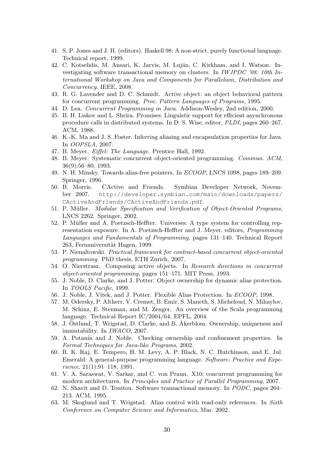- 41. S. P. Jones and J. H. (editors). Haskell 98: A non-strict, purely functional language. Technical report, 1999.
- 42. C. Kotselidis, M. Ansari, K. Jarvis, M. Luján, C. Kirkham, and I. Watson. Investigating software transactional memory on clusters. In IWJPDC '08: 10th International Workshop on Java and Components for Parallelism, Distribution and Concurrency. IEEE, 2008.
- 43. R. G. Lavender and D. C. Schmidt. Active object: an object behavioral pattern for concurrent programming. Proc. Pattern Languages of Programs, 1995.
- 44. D. Lea. Concurrent Programming in Java. Addison-Wesley, 2nd edition, 2000.
- 45. B. H. Liskov and L. Shrira. Promises: Linguistic support for efficient asynchronous procedure calls in distributed systems. In D. S. Wise, editor, PLDI, pages 260–267. ACM, 1988.
- 46. K.-K. Ma and J. S. Foster. Inferring aliasing and encapsulation properties for Java. In OOPSLA, 2007.
- 47. B. Meyer. Eiffel: The Language. Prentice Hall, 1992.
- 48. B. Meyer. Systematic concurrent object-oriented programming. Commun. ACM, 36(9):56–80, 1993.
- 49. N. H. Minsky. Towards alias-free pointers. In ECOOP, LNCS 1098, pages 189–209. Springer, 1996.
- 50. B. Morris. CActive and Friends. Symbian Developer Network, November 2007. http://developer.symbian.com/main/downloads/papers/ CActiveAndFriends/CActiveAndFriends.pdf.
- 51. P. Müller. Modular Specification and Verification of Object-Oriented Programs, LNCS 2262. Springer, 2002.
- 52. P. M¨uller and A. Poetzsch-Heffter. Universes: A type system for controlling representation exposure. In A. Poetzsch-Heffter and J. Meyer, editors, Programming Languages and Fundamentals of Programming, pages 131–140. Technical Report 263, Fernuniversität Hagen, 1999.
- 53. P. Nienaltowski. Practical framework for contract-based concurrent object-oriented programming. PhD thesis, ETH Zurich, 2007.
- 54. O. Nierstrasz. Composing active objects. In Research directions in concurrent object-oriented programming, pages 151–171. MIT Press, 1993.
- 55. J. Noble, D. Clarke, and J. Potter. Object ownership for dynamic alias protection. In TOOLS Pacific, 1999.
- 56. J. Noble, J. Vitek, and J. Potter. Flexible Alias Protection. In ECOOP, 1998.
- 57. M. Odersky, P. Altherr, V. Cremet, B. Emir, S. Maneth, S. Micheloud, N. Mihaylov, M. Schinz, E. Stenman, and M. Zenger. An overview of the Scala programming language. Technical Report IC/2004/64, EPFL, 2004.
- 58. J. Östlund, T. Wrigstad, D. Clarke, and B. Åkerblom. Ownership, uniqueness and immutability. In IWACO, 2007.
- 59. A. Potanin and J. Noble. Checking ownership and confinement properties. In Formal Techniques for Java-like Programs, 2002.
- 60. R. K. Raj, E. Tempero, H. M. Levy, A. P. Black, N. C. Hutchinson, and E. Jul. Emerald: A general-purpose programming language. Software: Practice and Experience, 21(1):91–118, 1991.
- 61. V. A. Saraswat, V. Sarkar, and C. von Praun. X10: concurrent programming for modern architectures. In Principles and Practice of Parallel Programming, 2007.
- 62. N. Shavit and D. Touitou. Software transactional memory. In PODC, pages 204– 213. ACM, 1995.
- 63. M. Skoglund and T. Wrigstad. Alias control with read-only references. In Sixth Conference on Computer Science and Informatics, Mar. 2002.